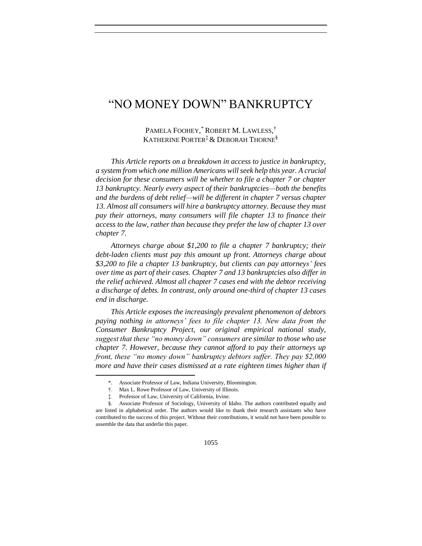# "NO MONEY DOWN" BANKRUPTCY

PAMELA FOOHEY, \* ROBERT M. LAWLESS, † KATHERINE PORTER<sup>‡</sup> & DEBORAH THORNE<sup>§</sup>

*This Article reports on a breakdown in access to justice in bankruptcy, a system from which one million Americans will seek help this year. A crucial decision for these consumers will be whether to file a chapter 7 or chapter 13 bankruptcy. Nearly every aspect of their bankruptcies—both the benefits and the burdens of debt relief—will be different in chapter 7 versus chapter 13. Almost all consumers will hire a bankruptcy attorney. Because they must pay their attorneys, many consumers will file chapter 13 to finance their access to the law, rather than because they prefer the law of chapter 13 over chapter 7.*

*Attorneys charge about \$1,200 to file a chapter 7 bankruptcy; their debt-laden clients must pay this amount up front. Attorneys charge about \$3,200 to file a chapter 13 bankruptcy, but clients can pay attorneys' fees over time as part of their cases. Chapter 7 and 13 bankruptcies also differ in the relief achieved. Almost all chapter 7 cases end with the debtor receiving a discharge of debts. In contrast, only around one-third of chapter 13 cases end in discharge.*

*This Article exposes the increasingly prevalent phenomenon of debtors paying nothing in attorneys' fees to file chapter 13. New data from the Consumer Bankruptcy Project, our original empirical national study, suggest that these "no money down" consumers are similar to those who use chapter 7. However, because they cannot afford to pay their attorneys up front, these "no money down" bankruptcy debtors suffer. They pay \$2,000 more and have their cases dismissed at a rate eighteen times higher than if* 

<sup>\*.</sup> Associate Professor of Law, Indiana University, Bloomington.

<sup>†.</sup> Max L. Rowe Professor of Law, University of Illinois.

<sup>‡.</sup> Professor of Law, University of California, Irvine.

<sup>§.</sup> Associate Professor of Sociology, University of Idaho. The authors contributed equally and are listed in alphabetical order. The authors would like to thank their research assistants who have contributed to the success of this project. Without their contributions, it would not have been possible to assemble the data that underlie this paper.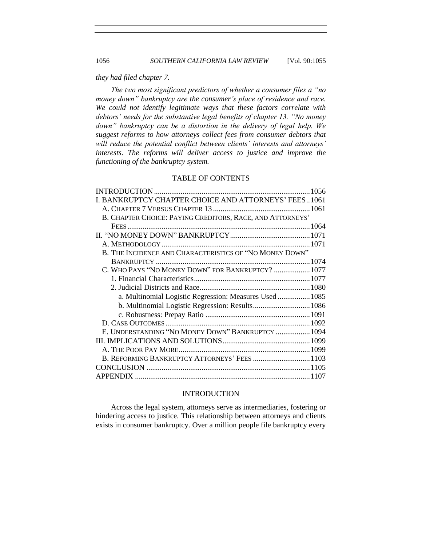#### *they had filed chapter 7.*

*The two most significant predictors of whether a consumer files a "no money down" bankruptcy are the consumer's place of residence and race. We could not identify legitimate ways that these factors correlate with debtors' needs for the substantive legal benefits of chapter 13. "No money down" bankruptcy can be a distortion in the delivery of legal help. We suggest reforms to how attorneys collect fees from consumer debtors that will reduce the potential conflict between clients' interests and attorneys' interests. The reforms will deliver access to justice and improve the functioning of the bankruptcy system.*

# TABLE OF CONTENTS

| I. BANKRUPTCY CHAPTER CHOICE AND ATTORNEYS' FEES1061      |  |
|-----------------------------------------------------------|--|
|                                                           |  |
| B. CHAPTER CHOICE: PAYING CREDITORS, RACE, AND ATTORNEYS' |  |
|                                                           |  |
|                                                           |  |
|                                                           |  |
| B. THE INCIDENCE AND CHARACTERISTICS OF "NO MONEY DOWN"   |  |
|                                                           |  |
| C. WHO PAYS "NO MONEY DOWN" FOR BANKRUPTCY?  1077         |  |
|                                                           |  |
|                                                           |  |
| a. Multinomial Logistic Regression: Measures Used  1085   |  |
|                                                           |  |
|                                                           |  |
|                                                           |  |
| E. UNDERSTANDING "NO MONEY DOWN" BANKRUPTCY  1094         |  |
|                                                           |  |
|                                                           |  |
| B. REFORMING BANKRUPTCY ATTORNEYS' FEES  1103             |  |
|                                                           |  |
|                                                           |  |

# INTRODUCTION

<span id="page-1-0"></span>Across the legal system, attorneys serve as intermediaries, fostering or hindering access to justice. This relationship between attorneys and clients exists in consumer bankruptcy. Over a million people file bankruptcy every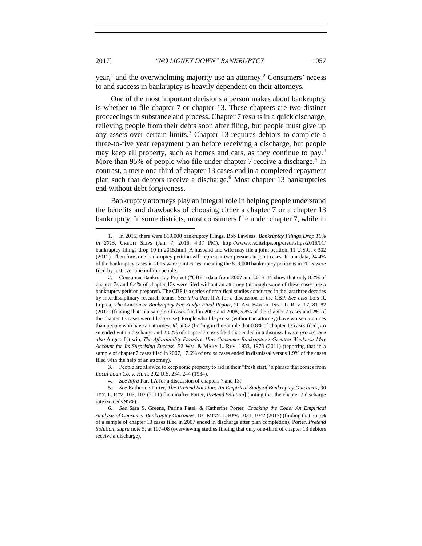year,<sup>1</sup> and the overwhelming majority use an attorney.<sup>2</sup> Consumers' access to and success in bankruptcy is heavily dependent on their attorneys.

One of the most important decisions a person makes about bankruptcy is whether to file chapter 7 or chapter 13. These chapters are two distinct proceedings in substance and process. Chapter 7 results in a quick discharge, relieving people from their debts soon after filing, but people must give up any assets over certain limits.<sup>3</sup> Chapter 13 requires debtors to complete a three-to-five year repayment plan before receiving a discharge, but people may keep all property, such as homes and cars, as they continue to pay.<sup>4</sup> More than 95% of people who file under chapter 7 receive a discharge.<sup>5</sup> In contrast, a mere one-third of chapter 13 cases end in a completed repayment plan such that debtors receive a discharge.<sup>6</sup> Most chapter 13 bankruptcies end without debt forgiveness.

Bankruptcy attorneys play an integral role in helping people understand the benefits and drawbacks of choosing either a chapter 7 or a chapter 13 bankruptcy. In some districts, most consumers file under chapter 7, while in

3. People are allowed to keep some property to aid in their "fresh start," a phrase that comes from *Local Loan Co. v. Hunt*, 292 U.S. 234, 244 (1934).

<sup>1.</sup> In 2015, there were 819,000 bankruptcy filings. Bob Lawless, *Bankruptcy Filings Drop 10% in 2015*, CREDIT SLIPS (Jan. 7, 2016, 4:37 PM), http://www.creditslips.org/creditslips/2016/01/ bankruptcy-filings-drop-10-in-2015.html. A husband and wife may file a joint petition. 11 U.S.C. § 302 (2012). Therefore, one bankruptcy petition will represent two persons in joint cases. In our data, 24.4% of the bankruptcy cases in 2015 were joint cases, meaning the 819,000 bankruptcy petitions in 2015 were filed by just over one million people.

<sup>2.</sup> Consumer Bankruptcy Project ("CBP") data from 2007 and 2013–15 show that only 8.2% of chapter 7s and 6.4% of chapter 13s were filed without an attorney (although some of these cases use a bankruptcy petition preparer). The CBP is a series of empirical studies conducted in the last three decades by interdisciplinary research teams. *See infra* Part II.A for a discussion of the CBP. *See also* Lois R. Lupica, *The Consumer Bankruptcy Fee Study: Final Report*, 20 AM. BANKR. INST. L. REV. 17, 81–82 (2012) (finding that in a sample of cases filed in 2007 and 2008, 5.8% of the chapter 7 cases and 2% of the chapter 13 cases were filed *pro se*). People who file *pro se* (without an attorney) have worse outcomes than people who have an attorney. *Id.* at 82 (finding in the sample that 0.8% of chapter 13 cases filed *pro se* ended with a discharge and 28.2% of chapter 7 cases filed that ended in a dismissal were *pro se*). *See also* Angela Littwin, *The Affordability Paradox: How Consumer Bankruptcy's Greatest Weakness May Account for Its Surprising Success*, 52 WM. & MARY L. REV. 1933, 1973 (2011) (reporting that in a sample of chapter 7 cases filed in 2007, 17.6% of *pro se* cases ended in dismissal versus 1.9% of the cases filed with the help of an attorney).

<sup>4.</sup> *See infra* Part I.A for a discussion of chapters 7 and 13.

<sup>5.</sup> *See* Katherine Porter, *The Pretend Solution: An Empirical Study of Bankruptcy Outcomes*, 90 TEX. L. REV. 103, 107 (2011) [hereinafter Porter, *Pretend Solution*] (noting that the chapter 7 discharge rate exceeds 95%).

<sup>6.</sup> *See* Sara S. Greene, Parina Patel, & Katherine Porter, *Cracking the Code: An Empirical Analysis of Consumer Bankruptcy Outcomes*, 101 MINN. L. REV. 1031, 1042 (2017) (finding that 36.5% of a sample of chapter 13 cases filed in 2007 ended in discharge after plan completion); Porter*, Pretend Solution, supra* note 5, at 107–08 (overviewing studies finding that only one-third of chapter 13 debtors receive a discharge).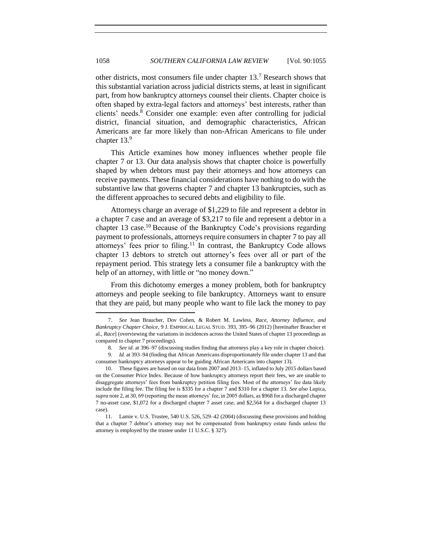other districts, most consumers file under chapter 13.<sup>7</sup> Research shows that this substantial variation across judicial districts stems, at least in significant part, from how bankruptcy attorneys counsel their clients. Chapter choice is often shaped by extra-legal factors and attorneys' best interests, rather than clients' needs.<sup>8</sup> Consider one example: even after controlling for judicial district, financial situation, and demographic characteristics, African Americans are far more likely than non-African Americans to file under chapter 13.<sup>9</sup>

This Article examines how money influences whether people file chapter 7 or 13. Our data analysis shows that chapter choice is powerfully shaped by when debtors must pay their attorneys and how attorneys can receive payments. These financial considerations have nothing to do with the substantive law that governs chapter 7 and chapter 13 bankruptcies, such as the different approaches to secured debts and eligibility to file.

Attorneys charge an average of \$1,229 to file and represent a debtor in a chapter 7 case and an average of \$3,217 to file and represent a debtor in a chapter 13 case.<sup>10</sup> Because of the Bankruptcy Code's provisions regarding payment to professionals, attorneys require consumers in chapter 7 to pay all attorneys' fees prior to filing.<sup>11</sup> In contrast, the Bankruptcy Code allows chapter 13 debtors to stretch out attorney's fees over all or part of the repayment period. This strategy lets a consumer file a bankruptcy with the help of an attorney, with little or "no money down."

From this dichotomy emerges a money problem, both for bankruptcy attorneys and people seeking to file bankruptcy. Attorneys want to ensure that they are paid, but many people who want to file lack the money to pay

 $\ddot{\phantom{a}}$ 

<sup>7.</sup> *See* Jean Braucher, Dov Cohen, & Robert M. Lawless, *Race, Attorney Influence, and Bankruptcy Chapter Choice*, 9 J. EMPIRICAL LEGAL STUD. 393, 395–96 (2012) [hereinafter Braucher et al., *Race*] (overviewing the variations in incidences across the United States of chapter 13 proceedings as compared to chapter 7 proceedings).

<sup>8.</sup> *See id.* at 396–97 (discussing studies finding that attorneys play a key role in chapter choice).

<sup>9.</sup> *Id.* at 393–94 (finding that African Americans disproportionately file under chapter 13 and that consumer bankruptcy attorneys appear to be guiding African Americans into chapter 13).

<sup>10.</sup> These figures are based on our data from 2007 and 2013–15, inflated to July 2015 dollars based on the Consumer Price Index. Because of how bankruptcy attorneys report their fees, we are unable to disaggregate attorneys' fees from bankruptcy petition filing fees. Most of the attorneys' fee data likely include the filing fee. The filing fee is \$335 for a chapter 7 and \$310 for a chapter 13. *See also* Lupica, *supra* note 2, at 30, 69 (reporting the mean attorneys' fee, in 2005 dollars, as \$968 for a discharged chapter 7 no-asset case, \$1,072 for a discharged chapter 7 asset case, and \$2,564 for a discharged chapter 13 case).

<sup>11.</sup> Lamie v. U.S. Trustee, 540 U.S. 526, 529–42 (2004) (discussing these provisions and holding that a chapter 7 debtor's attorney may not be compensated from bankruptcy estate funds unless the attorney is employed by the trustee under 11 U.S.C. § 327).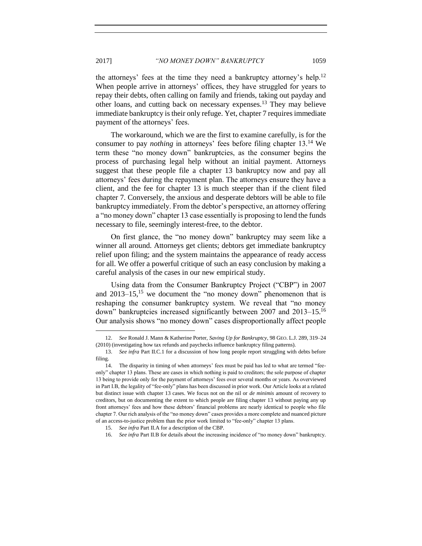the attorneys' fees at the time they need a bankruptcy attorney's help.<sup>12</sup> When people arrive in attorneys' offices, they have struggled for years to repay their debts, often calling on family and friends, taking out payday and other loans, and cutting back on necessary expenses.<sup>13</sup> They may believe immediate bankruptcy is their only refuge. Yet, chapter 7 requires immediate payment of the attorneys' fees.

The workaround, which we are the first to examine carefully, is for the consumer to pay *nothing* in attorneys' fees before filing chapter 13.<sup>14</sup> We term these "no money down" bankruptcies, as the consumer begins the process of purchasing legal help without an initial payment. Attorneys suggest that these people file a chapter 13 bankruptcy now and pay all attorneys' fees during the repayment plan. The attorneys ensure they have a client, and the fee for chapter 13 is much steeper than if the client filed chapter 7. Conversely, the anxious and desperate debtors will be able to file bankruptcy immediately. From the debtor's perspective, an attorney offering a "no money down" chapter 13 case essentially is proposing to lend the funds necessary to file, seemingly interest-free, to the debtor.

On first glance, the "no money down" bankruptcy may seem like a winner all around. Attorneys get clients; debtors get immediate bankruptcy relief upon filing; and the system maintains the appearance of ready access for all. We offer a powerful critique of such an easy conclusion by making a careful analysis of the cases in our new empirical study.

Using data from the Consumer Bankruptcy Project ("CBP") in 2007 and  $2013-15$ , <sup>15</sup> we document the "no money down" phenomenon that is reshaping the consumer bankruptcy system. We reveal that "no money down" bankruptcies increased significantly between 2007 and 2013–15.<sup>16</sup> Our analysis shows "no money down" cases disproportionally affect people

<sup>12.</sup> *See* Ronald J. Mann & Katherine Porter, *Saving Up for Bankruptcy*, 98 GEO. L.J. 289, 319–24 (2010) (investigating how tax refunds and paychecks influence bankruptcy filing patterns).

<sup>13.</sup> *See infra* Part II.C.1 for a discussion of how long people report struggling with debts before filing.

<sup>14.</sup> The disparity in timing of when attorneys' fees must be paid has led to what are termed "feeonly" chapter 13 plans. These are cases in which nothing is paid to creditors; the sole purpose of chapter 13 being to provide only for the payment of attorneys' fees over several months or years. As overviewed in Part I.B, the legality of "fee-only" plans has been discussed in prior work. Our Article looks at a related but distinct issue with chapter 13 cases. We focus not on the nil or *de minimis* amount of recovery to creditors, but on documenting the extent to which people are filing chapter 13 without paying any up front attorneys' fees and how these debtors' financial problems are nearly identical to people who file chapter 7. Our rich analysis of the "no money down" cases provides a more complete and nuanced picture of an access-to-justice problem than the prior work limited to "fee-only" chapter 13 plans.

<sup>15.</sup> *See infra* Part II.A for a description of the CBP.

<sup>16.</sup> *See infra* Part II.B for details about the increasing incidence of "no money down" bankruptcy.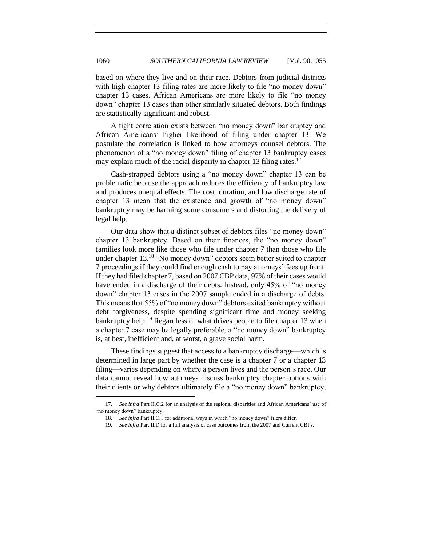based on where they live and on their race. Debtors from judicial districts with high chapter 13 filing rates are more likely to file "no money down" chapter 13 cases. African Americans are more likely to file "no money down" chapter 13 cases than other similarly situated debtors. Both findings are statistically significant and robust.

A tight correlation exists between "no money down" bankruptcy and African Americans' higher likelihood of filing under chapter 13. We postulate the correlation is linked to how attorneys counsel debtors. The phenomenon of a "no money down" filing of chapter 13 bankruptcy cases may explain much of the racial disparity in chapter 13 filing rates.<sup>17</sup>

Cash-strapped debtors using a "no money down" chapter 13 can be problematic because the approach reduces the efficiency of bankruptcy law and produces unequal effects. The cost, duration, and low discharge rate of chapter 13 mean that the existence and growth of "no money down" bankruptcy may be harming some consumers and distorting the delivery of legal help.

Our data show that a distinct subset of debtors files "no money down" chapter 13 bankruptcy. Based on their finances, the "no money down" families look more like those who file under chapter 7 than those who file under chapter 13.<sup>18</sup> "No money down" debtors seem better suited to chapter 7 proceedings if they could find enough cash to pay attorneys' fees up front. If they had filed chapter 7, based on 2007 CBP data, 97% of their cases would have ended in a discharge of their debts. Instead, only 45% of "no money down" chapter 13 cases in the 2007 sample ended in a discharge of debts. This means that 55% of "no money down" debtors exited bankruptcy without debt forgiveness, despite spending significant time and money seeking bankruptcy help.<sup>19</sup> Regardless of what drives people to file chapter 13 when a chapter 7 case may be legally preferable, a "no money down" bankruptcy is, at best, inefficient and, at worst, a grave social harm.

These findings suggest that access to a bankruptcy discharge—which is determined in large part by whether the case is a chapter 7 or a chapter 13 filing—varies depending on where a person lives and the person's race. Our data cannot reveal how attorneys discuss bankruptcy chapter options with their clients or why debtors ultimately file a "no money down" bankruptcy,

<sup>17.</sup> *See infra* Part II.C.2 for an analysis of the regional disparities and African Americans' use of "no money down" bankruptcy.

<sup>18.</sup> *See infra* Part II.C.1 for additional ways in which "no money down" filers differ.

<sup>19.</sup> *See infra* Part II.D for a full analysis of case outcomes from the 2007 and Current CBPs.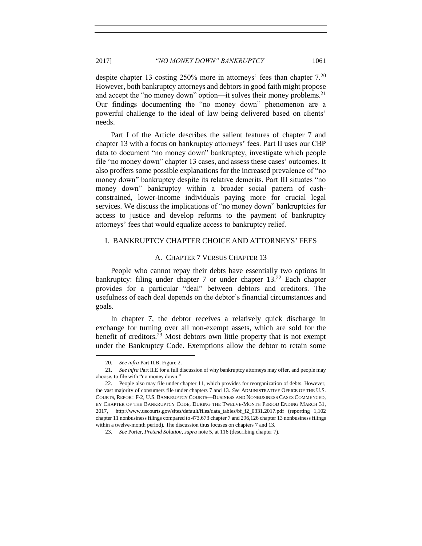despite chapter 13 costing 250% more in attorneys' fees than chapter 7.<sup>20</sup> However, both bankruptcy attorneys and debtors in good faith might propose and accept the "no money down" option—it solves their money problems.<sup>21</sup> Our findings documenting the "no money down" phenomenon are a powerful challenge to the ideal of law being delivered based on clients' needs.

Part I of the Article describes the salient features of chapter 7 and chapter 13 with a focus on bankruptcy attorneys' fees. Part II uses our CBP data to document "no money down" bankruptcy, investigate which people file "no money down" chapter 13 cases, and assess these cases' outcomes. It also proffers some possible explanations for the increased prevalence of "no money down" bankruptcy despite its relative demerits. Part III situates "no money down" bankruptcy within a broader social pattern of cashconstrained, lower-income individuals paying more for crucial legal services. We discuss the implications of "no money down" bankruptcies for access to justice and develop reforms to the payment of bankruptcy attorneys' fees that would equalize access to bankruptcy relief.

# <span id="page-6-1"></span><span id="page-6-0"></span>I. BANKRUPTCY CHAPTER CHOICE AND ATTORNEYS' FEES

# A. CHAPTER 7 VERSUS CHAPTER 13

People who cannot repay their debts have essentially two options in bankruptcy: filing under chapter 7 or under chapter  $13.^{22}$  Each chapter provides for a particular "deal" between debtors and creditors. The usefulness of each deal depends on the debtor's financial circumstances and goals.

In chapter 7, the debtor receives a relatively quick discharge in exchange for turning over all non-exempt assets, which are sold for the benefit of creditors.<sup>23</sup> Most debtors own little property that is not exempt under the Bankruptcy Code. Exemptions allow the debtor to retain some

<sup>20.</sup> *See infra* Part II.B, Figure 2.

<sup>21.</sup> *See infra* Part II.E for a full discussion of why bankruptcy attorneys may offer, and people may choose, to file with "no money down."

<sup>22.</sup> People also may file under chapter 11, which provides for reorganization of debts. However, the vast majority of consumers file under chapters 7 and 13. *See* ADMINISTRATIVE OFFICE OF THE U.S. COURTS, REPORT F-2, U.S. BANKRUPTCY COURTS––BUSINESS AND NONBUSINESS CASES COMMENCED, BY CHAPTER OF THE BANKRUPTCY CODE, DURING THE TWELVE-MONTH PERIOD ENDING MARCH 31, 2017, http://www.uscourts.gov/sites/default/files/data\_tables/bf\_f2\_0331.2017.pdf (reporting 1,102 chapter 11 nonbusiness filings compared to 473,673 chapter 7 and 296,126 chapter 13 nonbusiness filings within a twelve-month period). The discussion thus focuses on chapters 7 and 13.

<sup>23.</sup> *See* Porter, *Pretend Solution*, *supra* note 5, at 116 (describing chapter 7).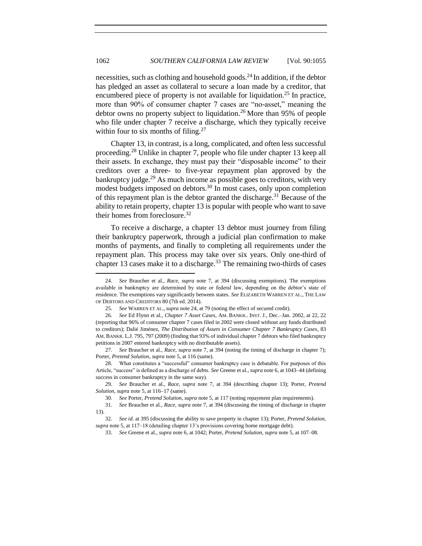necessities, such as clothing and household goods.<sup>24</sup> In addition, if the debtor has pledged an asset as collateral to secure a loan made by a creditor, that encumbered piece of property is not available for liquidation.<sup>25</sup> In practice, more than 90% of consumer chapter 7 cases are "no-asset," meaning the debtor owns no property subject to liquidation.<sup>26</sup> More than 95% of people who file under chapter 7 receive a discharge, which they typically receive within four to six months of filing.<sup>27</sup>

Chapter 13, in contrast, is a long, complicated, and often less successful proceeding.<sup>28</sup> Unlike in chapter 7, people who file under chapter 13 keep all their assets. In exchange, they must pay their "disposable income" to their creditors over a three- to five-year repayment plan approved by the bankruptcy judge.<sup>29</sup> As much income as possible goes to creditors, with very modest budgets imposed on debtors.<sup>30</sup> In most cases, only upon completion of this repayment plan is the debtor granted the discharge.<sup>31</sup> Because of the ability to retain property, chapter 13 is popular with people who want to save their homes from foreclosure.<sup>32</sup>

To receive a discharge, a chapter 13 debtor must journey from filing their bankruptcy paperwork, through a judicial plan confirmation to make months of payments, and finally to completing all requirements under the repayment plan. This process may take over six years. Only one-third of chapter 13 cases make it to a discharge.<sup>33</sup> The remaining two-thirds of cases

 $\ddot{\phantom{a}}$ 

<sup>24.</sup> *See* Braucher et al., *Race, supra* note 7, at 394 (discussing exemptions). The exemptions available in bankruptcy are determined by state or federal law, depending on the debtor's state of residence. The exemptions vary significantly between states. *See* ELIZABETH WARREN ET AL., THE LAW OF DEBTORS AND CREDITORS 80 (7th ed. 2014).

<sup>25.</sup> *See* WARREN ET AL., *supra* note 24, at 79 (noting the effect of secured credit).

<sup>26.</sup> *See* Ed Flynn et al., *Chapter 7 Asset Cases*, AM. BANKR.. INST. J., Dec.–Jan. 2002, at 22, 22 (reporting that 96% of consumer chapter 7 cases filed in 2002 were closed without any funds distributed to creditors); Dalié Jiménez, *The Distribution of Assets in Consumer Chapter 7 Bankruptcy Cases*, 83 AM. BANKR. L.J. 795, 797 (2009) (finding that 93% of individual chapter 7 debtors who filed bankruptcy petitions in 2007 entered bankruptcy with no distributable assets).

<sup>27.</sup> *See* Braucher et al., *Race*, *supra* note 7, at 394 (noting the timing of discharge in chapter 7); Porter, *Pretend Solution*, *supra* note 5, at 116 (same).

<sup>28.</sup> What constitutes a "successful" consumer bankruptcy case is debatable. For purposes of this Article, "success" is defined as a discharge of debts. *See* Greene et al., *supra* note 6, at 1043–44 (defining success in consumer bankruptcy in the same way).

<sup>29.</sup> *See* Braucher et al., *Race*, *supra* note 7, at 394 (describing chapter 13); Porter, *Pretend Solution*, *supra* note 5, at 116–17 (same).

<sup>30.</sup> *See* Porter, *Pretend Solution*, *supra* note 5, at 117 (noting repayment plan requirements).

<sup>31.</sup> *See* Braucher et al., *Race*, *supra* note 7, at 394 (discussing the timing of discharge in chapter 13).

<sup>32.</sup> *See id.* at 395 (discussing the ability to save property in chapter 13); Porter, *Pretend Solution*, *supra* note 5, at 117–18 (detailing chapter 13's provisions covering home mortgage debt).

<sup>33.</sup> *See* Greene et al., *supra* note 6, at 1042; Porter, *Pretend Solution*, *supra* note 5, at 107–08.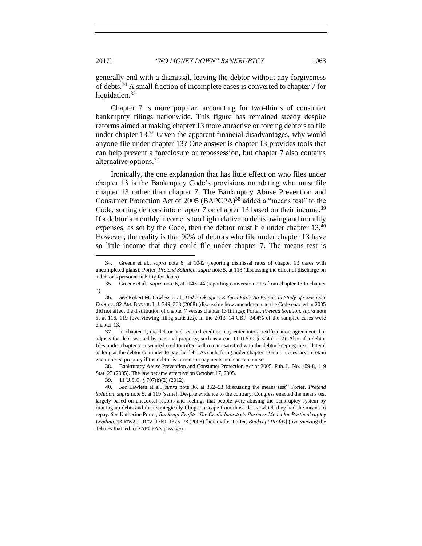generally end with a dismissal, leaving the debtor without any forgiveness of debts.<sup>34</sup> A small fraction of incomplete cases is converted to chapter 7 for liquidation.<sup>35</sup>

Chapter 7 is more popular, accounting for two-thirds of consumer bankruptcy filings nationwide. This figure has remained steady despite reforms aimed at making chapter 13 more attractive or forcing debtors to file under chapter  $13<sup>36</sup>$  Given the apparent financial disadvantages, why would anyone file under chapter 13? One answer is chapter 13 provides tools that can help prevent a foreclosure or repossession, but chapter 7 also contains alternative options.<sup>37</sup>

Ironically, the one explanation that has little effect on who files under chapter 13 is the Bankruptcy Code's provisions mandating who must file chapter 13 rather than chapter 7. The Bankruptcy Abuse Prevention and Consumer Protection Act of 2005 (BAPCPA)<sup>38</sup> added a "means test" to the Code, sorting debtors into chapter 7 or chapter 13 based on their income.<sup>39</sup> If a debtor's monthly income is too high relative to debts owing and monthly expenses, as set by the Code, then the debtor must file under chapter  $13^{40}$ However, the reality is that 90% of debtors who file under chapter 13 have so little income that they could file under chapter 7. The means test is

38. Bankruptcy Abuse Prevention and Consumer Protection Act of 2005, Pub. L. No. 109-8, 119 Stat. 23 (2005). The law became effective on October 17, 2005.

<sup>34.</sup> Greene et al., *supra* note 6, at 1042 (reporting dismissal rates of chapter 13 cases with uncompleted plans); Porter, *Pretend Solution*, *supra* note 5, at 118 (discussing the effect of discharge on a debtor's personal liability for debts).

<sup>35.</sup> Greene et al., *supra* note 6, at 1043–44 (reporting conversion rates from chapter 13 to chapter 7).

<sup>36.</sup> *See* Robert M. Lawless et al., *Did Bankruptcy Reform Fail? An Empirical Study of Consumer Debtors*, 82 AM. BANKR. L.J. 349, 363 (2008) (discussing how amendments to the Code enacted in 2005 did not affect the distribution of chapter 7 versus chapter 13 filings); Porter, *Pretend Solution*, *supra* note 5, at 116, 119 (overviewing filing statistics). In the 2013–14 CBP, 34.4% of the sampled cases were chapter 13.

<sup>37.</sup> In chapter 7, the debtor and secured creditor may enter into a reaffirmation agreement that adjusts the debt secured by personal property, such as a car. 11 U.S.C. § 524 (2012). Also, if a debtor files under chapter 7, a secured creditor often will remain satisfied with the debtor keeping the collateral as long as the debtor continues to pay the debt. As such, filing under chapter 13 is not necessary to retain encumbered property if the debtor is current on payments and can remain so.

<sup>39.</sup> 11 U.S.C. § 707(b)(2) (2012).

<sup>40.</sup> *See* Lawless et al., *supra* note 36, at 352–53 (discussing the means test); Porter, *Pretend Solution*, *supra* note 5, at 119 (same). Despite evidence to the contrary, Congress enacted the means test largely based on anecdotal reports and feelings that people were abusing the bankruptcy system by running up debts and then strategically filing to escape from those debts, which they had the means to repay. *See* Katherine Porter, *Bankrupt Profits: The Credit Industry's Business Model for Postbankruptcy Lending*, 93 IOWA L. REV. 1369, 1375–78 (2008) [hereinafter Porter, *Bankrupt Profits*] (overviewing the debates that led to BAPCPA's passage).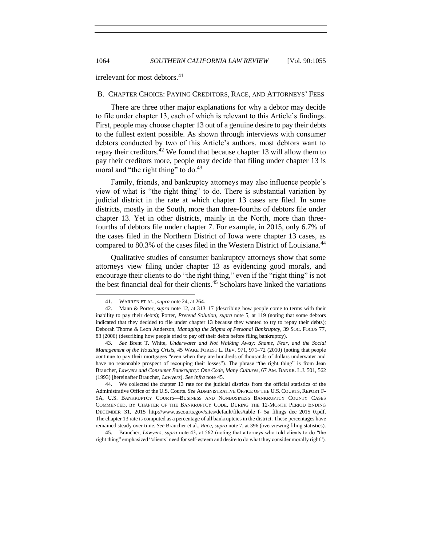<span id="page-9-0"></span>irrelevant for most debtors.<sup>41</sup>

## B. CHAPTER CHOICE: PAYING CREDITORS, RACE, AND ATTORNEYS' FEES

There are three other major explanations for why a debtor may decide to file under chapter 13, each of which is relevant to this Article's findings. First, people may choose chapter 13 out of a genuine desire to pay their debts to the fullest extent possible. As shown through interviews with consumer debtors conducted by two of this Article's authors, most debtors want to repay their creditors.<sup>42</sup> We found that because chapter 13 will allow them to pay their creditors more, people may decide that filing under chapter 13 is moral and "the right thing" to do.<sup>43</sup>

Family, friends, and bankruptcy attorneys may also influence people's view of what is "the right thing" to do. There is substantial variation by judicial district in the rate at which chapter 13 cases are filed. In some districts, mostly in the South, more than three-fourths of debtors file under chapter 13. Yet in other districts, mainly in the North, more than threefourths of debtors file under chapter 7. For example, in 2015, only 6.7% of the cases filed in the Northern District of Iowa were chapter 13 cases, as compared to 80.3% of the cases filed in the Western District of Louisiana.<sup>44</sup>

Qualitative studies of consumer bankruptcy attorneys show that some attorneys view filing under chapter 13 as evidencing good morals, and encourage their clients to do "the right thing," even if the "right thing" is not the best financial deal for their clients.<sup>45</sup> Scholars have linked the variations

 $\ddot{\phantom{a}}$ 

<sup>41.</sup> WARREN ET AL., *supra* note 24, at 264.

<sup>42.</sup> Mann & Porter, *supra* note 12, at 313–17 (describing how people come to terms with their inability to pay their debts); Porter, *Pretend Solution*, *supra* note 5, at 119 (noting that some debtors indicated that they decided to file under chapter 13 because they wanted to try to repay their debts); Deborah Thorne & Leon Anderson, *Managing the Stigma of Personal Bankruptcy*, 39 SOC. FOCUS 77, 83 (2006) (describing how people tried to pay off their debts before filing bankruptcy).

<sup>43.</sup> *See* Brent T. White, *Underwater and Not Walking Away: Shame, Fear, and the Social Management of the Housing Crisis*, 45 WAKE FOREST L. REV. 971, 971–72 (2010) (noting that people continue to pay their mortgages "even when they are hundreds of thousands of dollars underwater and have no reasonable prospect of recouping their losses"). The phrase "the right thing" is from Jean Braucher, *Lawyers and Consumer Bankruptcy: One Code, Many Cultures*, 67 AM. BANKR. L.J. 501, 562 (1993) [hereinafter Braucher, *Lawyers*]. *See infra* note 45.

<sup>44.</sup> We collected the chapter 13 rate for the judicial districts from the official statistics of the Administrative Office of the U.S. Courts. *See* ADMINISTRATIVE OFFICE OF THE U.S. COURTS, REPORT F-5A, U.S. BANKRUPTCY COURTS––BUSINESS AND NONBUSINESS BANKRUPTCY COUNTY CASES COMMENCED, BY CHAPTER OF THE BANKRUPTCY CODE, DURING THE 12-MONTH PERIOD ENDING DECEMBER 31, 2015 http://www.uscourts.gov/sites/default/files/table\_f-\_5a\_filings\_dec\_2015\_0.pdf. The chapter 13 rate is computed as a percentage of all bankruptcies in the district. These percentages have remained steady over time. *See* Braucher et al., *Race*, *supra* note 7, at 396 (overviewing filing statistics).

<sup>45.</sup> Braucher, *Lawyers*, *supra* note 43, at 562 (noting that attorneys who told clients to do "the right thing" emphasized "clients' need for self-esteem and desire to do what they consider morally right").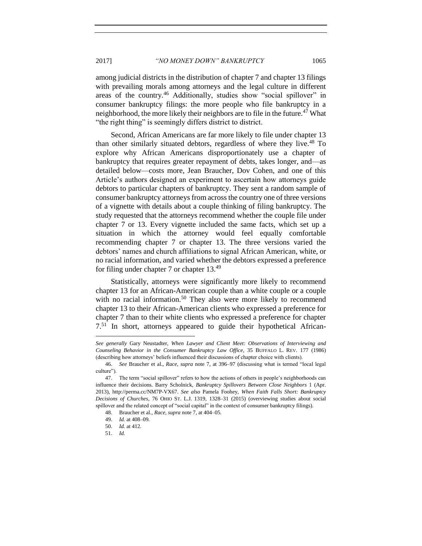among judicial districts in the distribution of chapter 7 and chapter 13 filings with prevailing morals among attorneys and the legal culture in different areas of the country.<sup>46</sup> Additionally, studies show "social spillover" in consumer bankruptcy filings: the more people who file bankruptcy in a neighborhood, the more likely their neighbors are to file in the future.<sup>47</sup> What "the right thing" is seemingly differs district to district.

Second, African Americans are far more likely to file under chapter 13 than other similarly situated debtors, regardless of where they live.<sup>48</sup> To explore why African Americans disproportionately use a chapter of bankruptcy that requires greater repayment of debts, takes longer, and—as detailed below—costs more, Jean Braucher, Dov Cohen, and one of this Article's authors designed an experiment to ascertain how attorneys guide debtors to particular chapters of bankruptcy. They sent a random sample of consumer bankruptcy attorneys from across the country one of three versions of a vignette with details about a couple thinking of filing bankruptcy. The study requested that the attorneys recommend whether the couple file under chapter 7 or 13. Every vignette included the same facts, which set up a situation in which the attorney would feel equally comfortable recommending chapter 7 or chapter 13. The three versions varied the debtors' names and church affiliations to signal African American, white, or no racial information, and varied whether the debtors expressed a preference for filing under chapter 7 or chapter 13.<sup>49</sup>

Statistically, attorneys were significantly more likely to recommend chapter 13 for an African-American couple than a white couple or a couple with no racial information.<sup>50</sup> They also were more likely to recommend chapter 13 to their African-American clients who expressed a preference for chapter 7 than to their white clients who expressed a preference for chapter 7.<sup>51</sup> In short, attorneys appeared to guide their hypothetical African-

*See generally* Gary Neustadter, *When Lawyer and Client Meet: Observations of Interviewing and Counseling Behavior in the Consumer Bankruptcy Law Office*, 35 BUFFALO L. REV. 177 (1986) (describing how attorneys' beliefs influenced their discussions of chapter choice with clients).

<sup>46.</sup> *See* Braucher et al., *Race*, *supra* note 7, at 396–97 (discussing what is termed "local legal culture")*.* 

<sup>47.</sup> The term "social spillover" refers to how the actions of others in people's neighborhoods can influence their decisions. Barry Scholnick, *Bankruptcy Spillovers Between Close Neighbors* 1 (Apr. 2013), http://perma.cc/NM7P-VX67. *See also* Pamela Foohey, *When Faith Falls Short: Bankruptcy Decisions of Churches*, 76 OHIO ST. L.J. 1319, 1328–31 (2015) (overviewing studies about social spillover and the related concept of "social capital" in the context of consumer bankruptcy filings).

<sup>48.</sup> Braucher et al., *Race*, *supra* note 7, at 404–05*.* 

<sup>49.</sup> *Id.* at 408–09*.* 

<sup>50.</sup> *Id.* at 412*.* 

<sup>51.</sup> *Id.*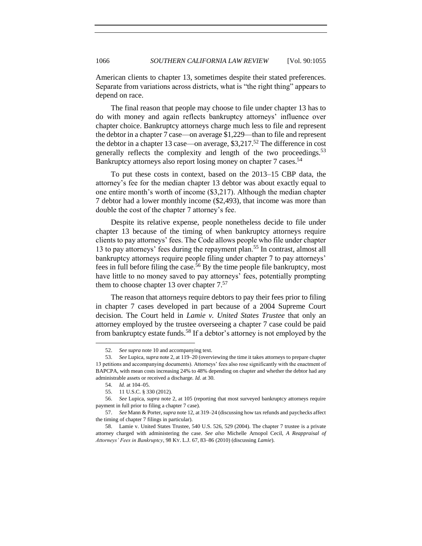American clients to chapter 13, sometimes despite their stated preferences. Separate from variations across districts, what is "the right thing" appears to depend on race.

The final reason that people may choose to file under chapter 13 has to do with money and again reflects bankruptcy attorneys' influence over chapter choice. Bankruptcy attorneys charge much less to file and represent the debtor in a chapter 7 case—on average \$1,229—than to file and represent the debtor in a chapter 13 case—on average,  $$3,217<sup>52</sup>$  The difference in cost generally reflects the complexity and length of the two proceedings.<sup>53</sup> Bankruptcy attorneys also report losing money on chapter 7 cases.<sup>54</sup>

To put these costs in context, based on the 2013–15 CBP data, the attorney's fee for the median chapter 13 debtor was about exactly equal to one entire month's worth of income (\$3,217). Although the median chapter 7 debtor had a lower monthly income (\$2,493), that income was more than double the cost of the chapter 7 attorney's fee.

Despite its relative expense, people nonetheless decide to file under chapter 13 because of the timing of when bankruptcy attorneys require clients to pay attorneys' fees. The Code allows people who file under chapter 13 to pay attorneys' fees during the repayment plan.<sup>55</sup> In contrast, almost all bankruptcy attorneys require people filing under chapter 7 to pay attorneys' fees in full before filing the case.<sup>56</sup> By the time people file bankruptcy, most have little to no money saved to pay attorneys' fees, potentially prompting them to choose chapter 13 over chapter  $7.57$ 

The reason that attorneys require debtors to pay their fees prior to filing in chapter 7 cases developed in part because of a 2004 Supreme Court decision. The Court held in *Lamie v. United States Trustee* that only an attorney employed by the trustee overseeing a chapter 7 case could be paid from bankruptcy estate funds.<sup>58</sup> If a debtor's attorney is not employed by the

<sup>52.</sup> *See supra* note 10 and accompanying text*.* 

<sup>53.</sup> *See* Lupica, *supra* note 2, at 119–20 (overviewing the time it takes attorneys to prepare chapter 13 petitions and accompanying documents). Attorneys' fees also rose significantly with the enactment of BAPCPA, with mean costs increasing 24% to 48% depending on chapter and whether the debtor had any administrable assets or received a discharge. *Id.* at 30.

<sup>54.</sup> *Id.* at 104–05.

<sup>55.</sup> 11 U.S.C. § 330 (2012).

<sup>56.</sup> *See* Lupica, *supra* note 2, at 105 (reporting that most surveyed bankruptcy attorneys require payment in full prior to filing a chapter 7 case).

<sup>57.</sup> *See* Mann & Porter, *supra* note 12, at 319–24 (discussing how tax refunds and paychecks affect the timing of chapter 7 filings in particular).

<sup>58.</sup> Lamie v. United States Trustee, 540 U.S. 526, 529 (2004). The chapter 7 trustee is a private attorney charged with administering the case. *See also* Michelle Arnopol Cecil, *A Reappraisal of Attorneys' Fees in Bankruptcy*, 98 KY. L.J. 67, 83–86 (2010) (discussing *Lamie*).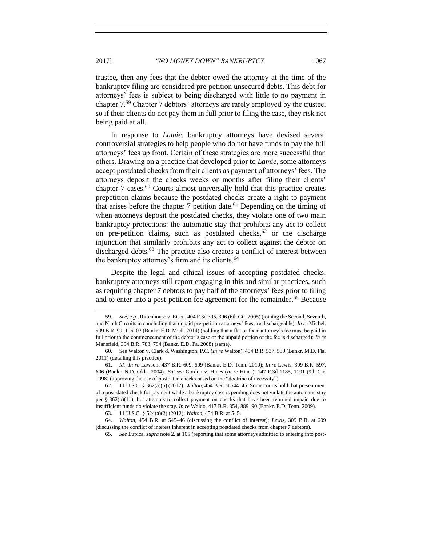trustee, then any fees that the debtor owed the attorney at the time of the bankruptcy filing are considered pre-petition unsecured debts. This debt for attorneys' fees is subject to being discharged with little to no payment in chapter 7.<sup>59</sup> Chapter 7 debtors' attorneys are rarely employed by the trustee, so if their clients do not pay them in full prior to filing the case, they risk not being paid at all.

In response to *Lamie*, bankruptcy attorneys have devised several controversial strategies to help people who do not have funds to pay the full attorneys' fees up front. Certain of these strategies are more successful than others. Drawing on a practice that developed prior to *Lamie*, some attorneys accept postdated checks from their clients as payment of attorneys' fees. The attorneys deposit the checks weeks or months after filing their clients' chapter 7 cases.<sup>60</sup> Courts almost universally hold that this practice creates prepetition claims because the postdated checks create a right to payment that arises before the chapter 7 petition date.<sup>61</sup> Depending on the timing of when attorneys deposit the postdated checks, they violate one of two main bankruptcy protections: the automatic stay that prohibits any act to collect on pre-petition claims, such as postdated checks,  $62$  or the discharge injunction that similarly prohibits any act to collect against the debtor on discharged debts. $63$  The practice also creates a conflict of interest between the bankruptcy attorney's firm and its clients.<sup>64</sup>

Despite the legal and ethical issues of accepting postdated checks, bankruptcy attorneys still report engaging in this and similar practices, such as requiring chapter 7 debtors to pay half of the attorneys' fees prior to filing and to enter into a post-petition fee agreement for the remainder.<sup>65</sup> Because

<sup>59.</sup> *See, e.g.*, Rittenhouse v. Eisen, 404 F.3d 395, 396 (6th Cir. 2005) (joining the Second, Seventh, and Ninth Circuits in concluding that unpaid pre-petition attorneys' fees are dischargeable); *In re* Michel, 509 B.R. 99, 106–07 (Bankr. E.D. Mich. 2014) (holding that a flat or fixed attorney's fee must be paid in full prior to the commencement of the debtor's case or the unpaid portion of the fee is discharged); *In re* Mansfield, 394 B.R. 783, 784 (Bankr. E.D. Pa. 2008) (same).

<sup>60.</sup> See Walton v. Clark & Washington, P.C. (*In re* Walton), 454 B.R. 537, 539 (Bankr. M.D. Fla. 2011) (detailing this practice).

<sup>61.</sup> *Id.*; *In re* Lawson, 437 B.R. 609, 609 (Bankr. E.D. Tenn. 2010); *In re* Lewis, 309 B.R. 597, 606 (Bankr. N.D. Okla. 2004). *But see* Gordon v. Hines (*In re* Hines), 147 F.3d 1185, 1191 (9th Cir. 1998) (approving the use of postdated checks based on the "doctrine of necessity").

<sup>62.</sup> 11 U.S.C. § 362(a)(6) (2012); *Walton*, 454 B.R. at 544–45. Some courts hold that presentment of a post-dated check for payment while a bankruptcy case is pending does not violate the automatic stay per § 362(b)(11), but attempts to collect payment on checks that have been returned unpaid due to insufficient funds do violate the stay. *In re* Waldo, 417 B.R. 854, 889–90 (Bankr. E.D. Tenn. 2009).

<sup>63.</sup> 11 U.S.C. § 524(a)(2) (2012); *Walton*, 454 B.R. at 545.

<sup>64.</sup> *Walton*, 454 B.R. at 545–46 (discussing the conflict of interest); *Lewis*, 309 B.R. at 609 (discussing the conflict of interest inherent in accepting postdated checks from chapter 7 debtors).

<sup>65.</sup> *See* Lupica, *supra* note 2, at 105 (reporting that some attorneys admitted to entering into post-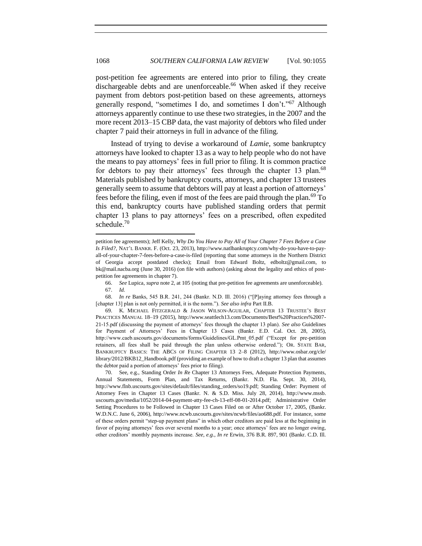post-petition fee agreements are entered into prior to filing, they create dischargeable debts and are unenforceable.<sup>66</sup> When asked if they receive payment from debtors post-petition based on these agreements, attorneys generally respond, "sometimes I do, and sometimes I don't."<sup>67</sup> Although attorneys apparently continue to use these two strategies, in the 2007 and the more recent 2013–15 CBP data, the vast majority of debtors who filed under chapter 7 paid their attorneys in full in advance of the filing.

Instead of trying to devise a workaround of *Lamie*, some bankruptcy attorneys have looked to chapter 13 as a way to help people who do not have the means to pay attorneys' fees in full prior to filing. It is common practice for debtors to pay their attorneys' fees through the chapter 13 plan.<sup>68</sup> Materials published by bankruptcy courts, attorneys, and chapter 13 trustees generally seem to assume that debtors will pay at least a portion of attorneys' fees before the filing, even if most of the fees are paid through the plan.<sup>69</sup> To this end, bankruptcy courts have published standing orders that permit chapter 13 plans to pay attorneys' fees on a prescribed, often expedited schedule.<sup>70</sup>

 $\ddot{\phantom{a}}$ 

petition fee agreements); Jeff Kelly, *Why Do You Have to Pay All of Your Chapter 7 Fees Before a Case Is Filed?*, NAT'L BANKR. F. (Oct. 23, 2013), http://www.natlbankruptcy.com/why-do-you-have-to-payall-of-your-chapter-7-fees-before-a-case-is-filed (reporting that some attorneys in the Northern District of Georgia accept postdated checks); Email from Edward Boltz, edboltz@gmail.com, to bk@mail.nacba.org (June 30, 2016) (on file with authors) (asking about the legality and ethics of postpetition fee agreements in chapter 7).

<sup>66.</sup> *See* Lupica, *supra* note 2, at 105 (noting that pre-petition fee agreements are unenforceable).

<sup>67.</sup> *Id.*

<sup>68.</sup> *In re* Banks, 545 B.R. 241, 244 (Bankr. N.D. Ill. 2016) ("[P]aying attorney fees through a [chapter 13] plan is not only permitted, it is the norm."). *See also infra* Part II.B.

<sup>69.</sup> K. MICHAEL FITZGERALD & JASON WILSON-AGUILAR, CHAPTER 13 TRUSTEE'S BEST PRACTICES MANUAL 18–19 (2015), http://www.seattlech13.com/Documents/Best%20Practices%2007- 21-15.pdf (discussing the payment of attorneys' fees through the chapter 13 plan). *See also* Guidelines for Payment of Attorneys' Fees in Chapter 13 Cases (Bankr. E.D. Cal. Oct. 28, 2005), http://www.caeb.uscourts.gov/documents/forms/Guidelines/GL.Pmt\_05.pdf ("Except for pre-petition retainers, all fees shall be paid through the plan unless otherwise ordered."); OR. STATE BAR, BANKRUPTCY BASICS: THE ABCS OF FILING CHAPTER 13 2–8 (2012), http://www.osbar.org/cle/ library/2012/BKB12\_Handbook.pdf (providing an example of how to draft a chapter 13 plan that assumes the debtor paid a portion of attorneys' fees prior to filing).

<sup>70.</sup> See, e.g., Standing Order *In R*e Chapter 13 Attorneys Fees, Adequate Protection Payments, Annual Statements, Form Plan, and Tax Returns, (Bankr. N.D. Fla. Sept. 30, 2014), http://www.flnb.uscourts.gov/sites/default/files/standing\_orders/so19.pdf; Standing Order: Payment of Attorney Fees in Chapter 13 Cases (Bankr. N. & S.D. Miss. July 28, 2014), http://www.mssb. uscourts.gov/media/1052/2014-04-payment-atty-fee-ch-13-eff-08-01-2014.pdf; Administrative Order Setting Procedures to be Followed in Chapter 13 Cases Filed on or After October 17, 2005, (Bankr. W.D.N.C. June 6, 2006), http://www.ncwb.uscourts.gov/sites/ncwb/files/ao688.pdf. For instance, some of these orders permit "step-up payment plans" in which other creditors are paid less at the beginning in favor of paying attorneys' fees over several months to a year; once attorneys' fees are no longer owing, other creditors' monthly payments increase. *See, e.g.*, *In re* Erwin, 376 B.R. 897, 901 (Bankr. C.D. Ill.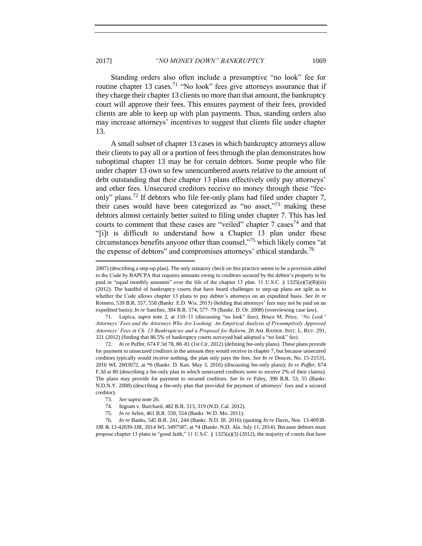2017] *"NO MONEY DOWN" BANKRUPTCY* 1069

Standing orders also often include a presumptive "no look" fee for routine chapter 13 cases.<sup>71</sup> "No look" fees give attorneys assurance that if they charge their chapter 13 clients no more than that amount, the bankruptcy court will approve their fees. This ensures payment of their fees, provided clients are able to keep up with plan payments. Thus, standing orders also may increase attorneys' incentives to suggest that clients file under chapter 13.

A small subset of chapter 13 cases in which bankruptcy attorneys allow their clients to pay all or a portion of fees through the plan demonstrates how suboptimal chapter 13 may be for certain debtors. Some people who file under chapter 13 own so few unencumbered assets relative to the amount of debt outstanding that their chapter 13 plans effectively only pay attorneys' and other fees. Unsecured creditors receive no money through these "feeonly" plans.<sup>72</sup> If debtors who file fee-only plans had filed under chapter 7, their cases would have been categorized as "no asset,"<sup>73</sup> making these debtors almost certainly better suited to filing under chapter 7. This has led courts to comment that these cases are "veiled" chapter  $7 \text{ cases}^{74}$  and that "[i]t is difficult to understand how a Chapter 13 plan under these circumstances benefits anyone other than counsel,"<sup>75</sup> which likely comes "at the expense of debtors" and compromises attorneys' ethical standards.<sup>76</sup>

 $\ddot{\phantom{a}}$ 

<sup>2007) (</sup>describing a step-up plan). The only statutory check on this practice seems to be a provision added to the Code by BAPCPA that requires amounts owing to creditors secured by the debtor's property to be paid in "equal monthly amounts" over the life of the chapter 13 plan. 11 U.S.C.  $\frac{\xi}{3}$  1325(a)(5)(B)(iii) (2012). The handful of bankruptcy courts that have heard challenges to step-up plans are split as to whether the Code allows chapter 13 plans to pay debtor's attorneys on an expedited basis. *See In re*  Romero, 539 B.R. 557, 558 (Bankr. E.D. Wis. 2015) (holding that attorneys' fees may not be paid on an expedited basis); *In re* Sanchez, 384 B.R. 574, 577–79 (Bankr. D. Or. 2008) (overviewing case law).

<sup>71.</sup> Lupica, *supra* note 2, at 110–11 (discussing "no look" fees); Bruce M. Price, *"No Look" Attorneys' Fees and the Attorneys Who Are Looking: An Empirical Analysis of Presumptively Approved Attorneys' Fees in Ch. 13 Bankruptcies and a Proposal for Reform*, 20 AM. BANKR. INST. L. REV. 291, 321 (2012) (finding that 86.5% of bankruptcy courts surveyed had adopted a "no look" fee).

<sup>72.</sup> *In re* Puffer, 674 F.3d 78, 80–81 (1st Cir. 2012) (defining fee-only plans). These plans provide for payment to unsecured creditors in the amount they would receive in chapter 7, but because unsecured creditors typically would receive nothing, the plan only pays the fees. *See In re* Doucet, No. 15-21531, 2016 WL 2603072, at \*6 (Bankr. D. Kan. May 3, 2016) (discussing fee-only plans); *In re Puffer*, 674 F.3d at 80 (describing a fee-only plan in which unsecured creditors were to receive 2% of their claims). The plans may provide for payment to secured creditors. *See In re* Paley, 390 B.R. 53, 55 (Bankr. N.D.N.Y. 2008) (describing a fee-only plan that provided for payment of attorneys' fees and a secured creditor).

<sup>73.</sup> *See supra* note 26.

<sup>74.</sup> Ingram v. Burchard, 482 B.R. 313, 319 (N.D. Cal. 2012).

<sup>75.</sup> *In re* Arlen, 461 B.R. 550, 554 (Bankr. W.D. Mo. 2011).

<sup>76.</sup> *In re* Banks, 545 B.R. 241, 244 (Bankr. N.D. Ill. 2016) (quoting *In re* Davis*,* Nos. 13-40938- JJR & 13-42039-JJR, 2014 WL 3497587, at \*4 (Bankr. N.D. Ala. July 11, 2014). Because debtors must propose chapter 13 plans in "good faith," 11 U.S.C. § 1325(a)(3) (2012), the majority of courts that have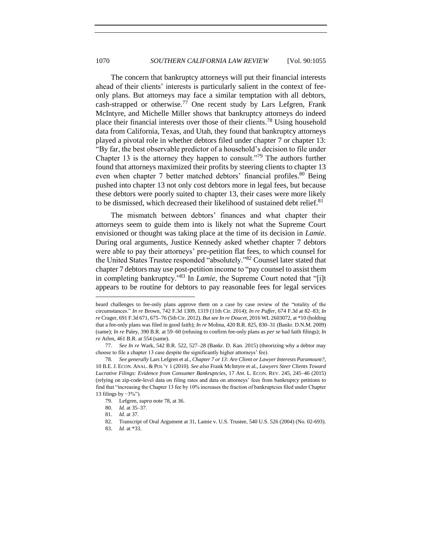The concern that bankruptcy attorneys will put their financial interests ahead of their clients' interests is particularly salient in the context of feeonly plans. But attorneys may face a similar temptation with all debtors,  $cash$ -strapped or otherwise.<sup>77</sup> One recent study by Lars Lefgren, Frank McIntyre, and Michelle Miller shows that bankruptcy attorneys do indeed place their financial interests over those of their clients.<sup>78</sup> Using household data from California, Texas, and Utah, they found that bankruptcy attorneys played a pivotal role in whether debtors filed under chapter 7 or chapter 13: "By far, the best observable predictor of a household's decision to file under Chapter 13 is the attorney they happen to consult."<sup>79</sup> The authors further found that attorneys maximized their profits by steering clients to chapter 13 even when chapter 7 better matched debtors' financial profiles.<sup>80</sup> Being pushed into chapter 13 not only cost debtors more in legal fees, but because these debtors were poorly suited to chapter 13, their cases were more likely to be dismissed, which decreased their likelihood of sustained debt relief.<sup>81</sup>

The mismatch between debtors' finances and what chapter their attorneys seem to guide them into is likely not what the Supreme Court envisioned or thought was taking place at the time of its decision in *Lamie*. During oral arguments, Justice Kennedy asked whether chapter 7 debtors were able to pay their attorneys' pre-petition flat fees, to which counsel for the United States Trustee responded "absolutely."<sup>82</sup> Counsel later stated that chapter 7 debtors may use post-petition income to "pay counsel to assist them in completing bankruptcy."<sup>83</sup> In *Lamie*, the Supreme Court noted that "[i]t appears to be routine for debtors to pay reasonable fees for legal services

heard challenges to fee-only plans approve them on a case by case review of the "totality of the circumstances." *In re* Brown, 742 F.3d 1309, 1319 (11th Cir. 2014); *In re Puffer*, 674 F.3d at 82–83; *In re* Crager, 691 F.3d 671, 675–76 (5th Cir. 2012). *But see In re Doucet*, 2016 WL 2603072, at \*10 (holding that a fee-only plans was filed in good faith); *In re* Molina, 420 B.R. 825, 830–31 (Bankr. D.N.M. 2009) (same); *In re* Paley, 390 B.R. at 59–60 (refusing to confirm fee-only plans as *per se* bad faith filings); *In re* Arlen, 461 B.R. at 554 (same).

<sup>77.</sup> *See In re* Wark, 542 B.R. 522, 527–28 (Bankr. D. Kan. 2015) (theorizing why a debtor may choose to file a chapter 13 case despite the significantly higher attorneys' fee).

<sup>78.</sup> *See generally* Lars Lefgren et al., *Chapter 7 or 13: Are Client or Lawyer Interests Paramount?*, 10 B.E.J. ECON. ANAL. & POL'Y 1 (2010). *See also* Frank McIntyre et al., *Lawyers Steer Clients Toward Lucrative Filings: Evidence from Consumer Bankruptcies*, 17 AM. L. ECON. REV. 245, 245–46 (2015) (relying on zip-code-level data on filing rates and data on attorneys' fees from bankruptcy petitions to find that "increasing the Chapter 13 fee by 10% increases the fraction of bankruptcies filed under Chapter 13 filings by ∼3%").

<sup>79.</sup> Lefgren*, supra* note 78, at 36.

<sup>80.</sup> *Id.* at 35–37.

<sup>81.</sup> *Id.* at 37.

<sup>82.</sup> Transcript of Oral Argument at 31, Lamie v. U.S. Trustee, 540 U.S. 526 (2004) (No. 02-693).

<sup>83.</sup> *Id.* at \*33.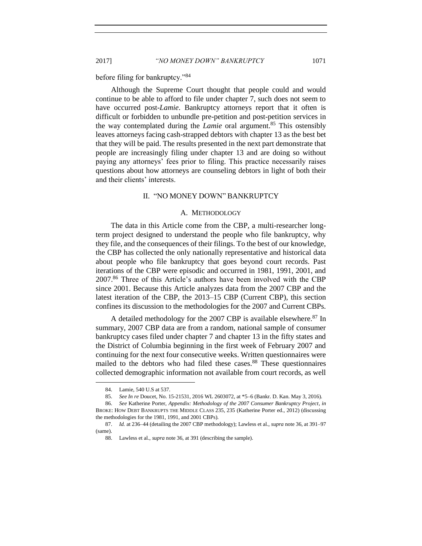before filing for bankruptcy."<sup>84</sup>

Although the Supreme Court thought that people could and would continue to be able to afford to file under chapter 7, such does not seem to have occurred post-*Lamie*. Bankruptcy attorneys report that it often is difficult or forbidden to unbundle pre-petition and post-petition services in the way contemplated during the *Lamie* oral argument.<sup>85</sup> This ostensibly leaves attorneys facing cash-strapped debtors with chapter 13 as the best bet that they will be paid. The results presented in the next part demonstrate that people are increasingly filing under chapter 13 and are doing so without paying any attorneys' fees prior to filing. This practice necessarily raises questions about how attorneys are counseling debtors in light of both their and their clients' interests.

#### II. "NO MONEY DOWN" BANKRUPTCY

#### <span id="page-16-1"></span>A. METHODOLOGY

<span id="page-16-0"></span>The data in this Article come from the CBP, a multi-researcher longterm project designed to understand the people who file bankruptcy, why they file, and the consequences of their filings. To the best of our knowledge, the CBP has collected the only nationally representative and historical data about people who file bankruptcy that goes beyond court records. Past iterations of the CBP were episodic and occurred in 1981, 1991, 2001, and 2007.<sup>86</sup> Three of this Article's authors have been involved with the CBP since 2001. Because this Article analyzes data from the 2007 CBP and the latest iteration of the CBP, the 2013–15 CBP (Current CBP), this section confines its discussion to the methodologies for the 2007 and Current CBPs.

A detailed methodology for the 2007 CBP is available elsewhere. $87$  In summary, 2007 CBP data are from a random, national sample of consumer bankruptcy cases filed under chapter 7 and chapter 13 in the fifty states and the District of Columbia beginning in the first week of February 2007 and continuing for the next four consecutive weeks. Written questionnaires were mailed to the debtors who had filed these cases.<sup>88</sup> These questionnaires collected demographic information not available from court records, as well

<sup>84.</sup> Lamie*,* 540 U.S at 537.

<sup>85.</sup> *See In re* Doucet, No. 15-21531, 2016 WL 2603072, at \*5–6 (Bankr. D. Kan. May 3, 2016).

<sup>86.</sup> *See* Katherine Porter, *Appendix: Methodology of the 2007 Consumer Bankruptcy Project*, *in*  BROKE: HOW DEBT BANKRUPTS THE MIDDLE CLASS 235, 235 (Katherine Porter ed., 2012) (discussing the methodologies for the 1981, 1991, and 2001 CBPs).

<sup>87.</sup> *Id.* at 236–44 (detailing the 2007 CBP methodology); Lawless et al., *supra* note 36, at 391–97 (same).

<sup>88.</sup> Lawless et al., *supra* note 36, at 391 (describing the sample).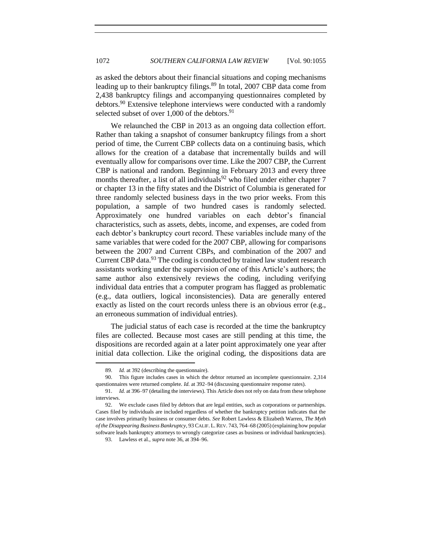as asked the debtors about their financial situations and coping mechanisms leading up to their bankruptcy filings.<sup>89</sup> In total, 2007 CBP data come from 2,438 bankruptcy filings and accompanying questionnaires completed by debtors.<sup>90</sup> Extensive telephone interviews were conducted with a randomly selected subset of over  $1,000$  of the debtors.<sup>91</sup>

We relaunched the CBP in 2013 as an ongoing data collection effort. Rather than taking a snapshot of consumer bankruptcy filings from a short period of time, the Current CBP collects data on a continuing basis, which allows for the creation of a database that incrementally builds and will eventually allow for comparisons over time. Like the 2007 CBP, the Current CBP is national and random. Beginning in February 2013 and every three months thereafter, a list of all individuals<sup>92</sup> who filed under either chapter  $7$ or chapter 13 in the fifty states and the District of Columbia is generated for three randomly selected business days in the two prior weeks. From this population, a sample of two hundred cases is randomly selected. Approximately one hundred variables on each debtor's financial characteristics, such as assets, debts, income, and expenses, are coded from each debtor's bankruptcy court record. These variables include many of the same variables that were coded for the 2007 CBP, allowing for comparisons between the 2007 and Current CBPs, and combination of the 2007 and Current CBP data.<sup>93</sup> The coding is conducted by trained law student research assistants working under the supervision of one of this Article's authors; the same author also extensively reviews the coding, including verifying individual data entries that a computer program has flagged as problematic (e.g., data outliers, logical inconsistencies). Data are generally entered exactly as listed on the court records unless there is an obvious error (e.g., an erroneous summation of individual entries).

The judicial status of each case is recorded at the time the bankruptcy files are collected. Because most cases are still pending at this time, the dispositions are recorded again at a later point approximately one year after initial data collection. Like the original coding, the dispositions data are

<sup>89.</sup> *Id.* at 392 (describing the questionnaire).

<sup>90.</sup> This figure includes cases in which the debtor returned an incomplete questionnaire. 2,314 questionnaires were returned complete. *Id.* at 392–94 (discussing questionnaire response rates).

<sup>91.</sup> *Id.* at 396–97 (detailing the interviews). This Article does not rely on data from these telephone interviews.

<sup>92.</sup> We exclude cases filed by debtors that are legal entities, such as corporations or partnerships. Cases filed by individuals are included regardless of whether the bankruptcy petition indicates that the case involves primarily business or consumer debts. *See* Robert Lawless & Elizabeth Warren, *The Myth of the Disappearing Business Bankruptcy*, 93 CALIF. L. REV. 743, 764–68 (2005) (explaining how popular software leads bankruptcy attorneys to wrongly categorize cases as business or individual bankruptcies).

<sup>93.</sup> Lawless et al., *supra* note 36, at 394–96.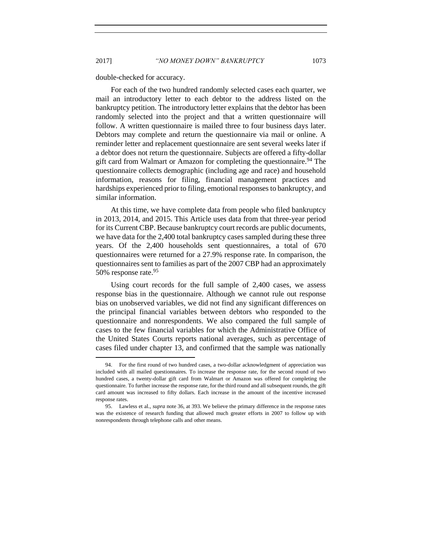double-checked for accuracy.

For each of the two hundred randomly selected cases each quarter, we mail an introductory letter to each debtor to the address listed on the bankruptcy petition. The introductory letter explains that the debtor has been randomly selected into the project and that a written questionnaire will follow. A written questionnaire is mailed three to four business days later. Debtors may complete and return the questionnaire via mail or online. A reminder letter and replacement questionnaire are sent several weeks later if a debtor does not return the questionnaire. Subjects are offered a fifty-dollar gift card from Walmart or Amazon for completing the questionnaire.<sup>94</sup> The questionnaire collects demographic (including age and race) and household information, reasons for filing, financial management practices and hardships experienced prior to filing, emotional responses to bankruptcy, and similar information.

At this time, we have complete data from people who filed bankruptcy in 2013, 2014, and 2015. This Article uses data from that three-year period for its Current CBP. Because bankruptcy court records are public documents, we have data for the 2,400 total bankruptcy cases sampled during these three years. Of the 2,400 households sent questionnaires, a total of 670 questionnaires were returned for a 27.9% response rate. In comparison, the questionnaires sent to families as part of the 2007 CBP had an approximately 50% response rate.<sup>95</sup>

Using court records for the full sample of 2,400 cases, we assess response bias in the questionnaire. Although we cannot rule out response bias on unobserved variables, we did not find any significant differences on the principal financial variables between debtors who responded to the questionnaire and nonrespondents. We also compared the full sample of cases to the few financial variables for which the Administrative Office of the United States Courts reports national averages, such as percentage of cases filed under chapter 13, and confirmed that the sample was nationally

<sup>94.</sup> For the first round of two hundred cases, a two-dollar acknowledgment of appreciation was included with all mailed questionnaires. To increase the response rate, for the second round of two hundred cases, a twenty-dollar gift card from Walmart or Amazon was offered for completing the questionnaire. To further increase the response rate, for the third round and all subsequent rounds, the gift card amount was increased to fifty dollars. Each increase in the amount of the incentive increased response rates.

<sup>95.</sup> Lawless et al., *supra* note 36, at 393. We believe the primary difference in the response rates was the existence of research funding that allowed much greater efforts in 2007 to follow up with nonrespondents through telephone calls and other means.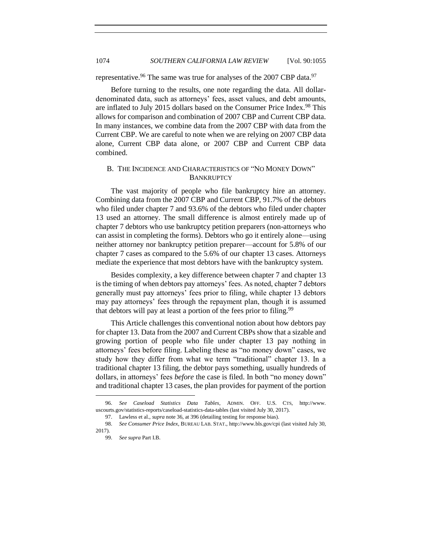representative.<sup>96</sup> The same was true for analyses of the 2007 CBP data.<sup>97</sup>

Before turning to the results, one note regarding the data. All dollardenominated data, such as attorneys' fees, asset values, and debt amounts, are inflated to July 2015 dollars based on the Consumer Price Index.<sup>98</sup> This allows for comparison and combination of 2007 CBP and Current CBP data. In many instances, we combine data from the 2007 CBP with data from the Current CBP. We are careful to note when we are relying on 2007 CBP data alone, Current CBP data alone, or 2007 CBP and Current CBP data combined.

# <span id="page-19-0"></span>B. THE INCIDENCE AND CHARACTERISTICS OF "NO MONEY DOWN" **BANKRUPTCY**

The vast majority of people who file bankruptcy hire an attorney. Combining data from the 2007 CBP and Current CBP, 91.7% of the debtors who filed under chapter 7 and 93.6% of the debtors who filed under chapter 13 used an attorney. The small difference is almost entirely made up of chapter 7 debtors who use bankruptcy petition preparers (non-attorneys who can assist in completing the forms). Debtors who go it entirely alone—using neither attorney nor bankruptcy petition preparer—account for 5.8% of our chapter 7 cases as compared to the 5.6% of our chapter 13 cases. Attorneys mediate the experience that most debtors have with the bankruptcy system.

Besides complexity, a key difference between chapter 7 and chapter 13 is the timing of when debtors pay attorneys' fees. As noted, chapter 7 debtors generally must pay attorneys' fees prior to filing, while chapter 13 debtors may pay attorneys' fees through the repayment plan, though it is assumed that debtors will pay at least a portion of the fees prior to filing.<sup>99</sup>

This Article challenges this conventional notion about how debtors pay for chapter 13. Data from the 2007 and Current CBPs show that a sizable and growing portion of people who file under chapter 13 pay nothing in attorneys' fees before filing. Labeling these as "no money down" cases, we study how they differ from what we term "traditional" chapter 13. In a traditional chapter 13 filing, the debtor pays something, usually hundreds of dollars, in attorneys' fees *before* the case is filed. In both "no money down" and traditional chapter 13 cases, the plan provides for payment of the portion

<sup>96.</sup> *See Caseload Statistics Data Tables*, ADMIN. OFF. U.S. CTS, http://www. uscourts.gov/statistics-reports/caseload-statistics-data-tables (last visited July 30, 2017).

<sup>97.</sup> Lawless et al., *supra* note 36, at 396 (detailing testing for response bias).

<sup>98.</sup> *See Consumer Price Index*, BUREAU LAB. STAT., http://www.bls.gov/cpi (last visited July 30, 2017).

<sup>99.</sup> *See supra* Part I.B.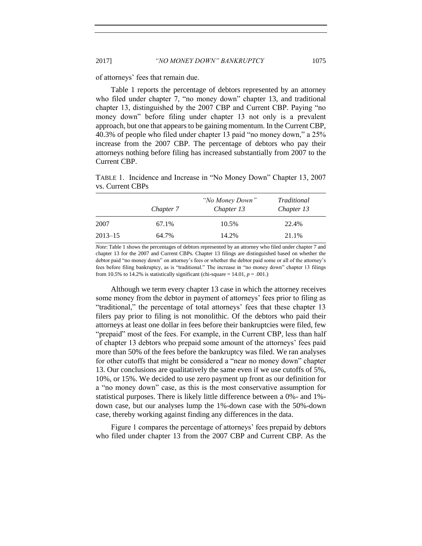of attorneys' fees that remain due.

Table 1 reports the percentage of debtors represented by an attorney who filed under chapter 7, "no money down" chapter 13, and traditional chapter 13, distinguished by the 2007 CBP and Current CBP. Paying "no money down" before filing under chapter 13 not only is a prevalent approach, but one that appears to be gaining momentum. In the Current CBP, 40.3% of people who filed under chapter 13 paid "no money down," a 25% increase from the 2007 CBP. The percentage of debtors who pay their attorneys nothing before filing has increased substantially from 2007 to the Current CBP.

|             | Chapter 7 | "No Money Down"<br>Chapter 13 | Traditional<br>Chapter 13 |
|-------------|-----------|-------------------------------|---------------------------|
| 2007        | 67.1%     | 10.5%                         | 22.4%                     |
| $2013 - 15$ | 64.7%     | 14.2%                         | 21.1%                     |

TABLE 1. Incidence and Increase in "No Money Down" Chapter 13, 2007 vs. Current CBPs

*Note*: Table 1 shows the percentages of debtors represented by an attorney who filed under chapter 7 and chapter 13 for the 2007 and Current CBPs. Chapter 13 filings are distinguished based on whether the debtor paid "no money down" on attorney's fees or whether the debtor paid some or all of the attorney's fees before filing bankruptcy, as is "traditional." The increase in "no money down" chapter 13 filings from 10.5% to 14.2% is statistically significant (chi-square =  $14.01$ ,  $p = .001$ .)

Although we term every chapter 13 case in which the attorney receives some money from the debtor in payment of attorneys' fees prior to filing as "traditional," the percentage of total attorneys' fees that these chapter 13 filers pay prior to filing is not monolithic. Of the debtors who paid their attorneys at least one dollar in fees before their bankruptcies were filed, few "prepaid" most of the fees. For example, in the Current CBP, less than half of chapter 13 debtors who prepaid some amount of the attorneys' fees paid more than 50% of the fees before the bankruptcy was filed. We ran analyses for other cutoffs that might be considered a "near no money down" chapter 13. Our conclusions are qualitatively the same even if we use cutoffs of 5%, 10%, or 15%. We decided to use zero payment up front as our definition for a "no money down" case, as this is the most conservative assumption for statistical purposes. There is likely little difference between a 0%- and 1% down case, but our analyses lump the 1%-down case with the 50%-down case, thereby working against finding any differences in the data.

Figure 1 compares the percentage of attorneys' fees prepaid by debtors who filed under chapter 13 from the 2007 CBP and Current CBP. As the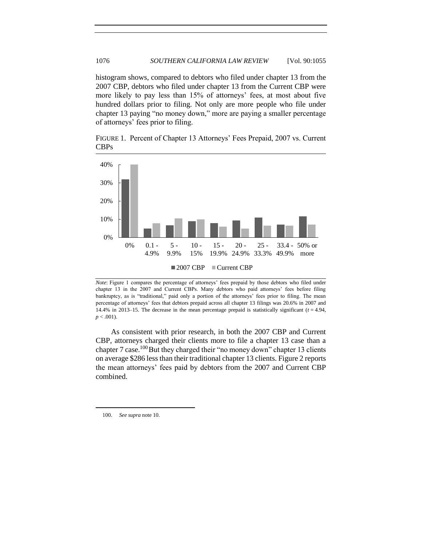# 1076 *SOUTHERN CALIFORNIA LAW REVIEW* [Vol. 90:1055

histogram shows, compared to debtors who filed under chapter 13 from the 2007 CBP, debtors who filed under chapter 13 from the Current CBP were more likely to pay less than 15% of attorneys' fees, at most about five hundred dollars prior to filing. Not only are more people who file under chapter 13 paying "no money down," more are paying a smaller percentage of attorneys' fees prior to filing.

FIGURE 1. Percent of Chapter 13 Attorneys' Fees Prepaid, 2007 vs. Current CBPs



*Note*: Figure 1 compares the percentage of attorneys' fees prepaid by those debtors who filed under chapter 13 in the 2007 and Current CBPs. Many debtors who paid attorneys' fees before filing bankruptcy, as is "traditional," paid only a portion of the attorneys' fees prior to filing. The mean percentage of attorneys' fees that debtors prepaid across all chapter 13 filings was 20.6% in 2007 and 14.4% in 2013–15. The decrease in the mean percentage prepaid is statistically significant  $(t = 4.94,$  $p < .001$ ).

As consistent with prior research, in both the 2007 CBP and Current CBP, attorneys charged their clients more to file a chapter 13 case than a chapter 7 case.<sup>100</sup>But they charged their "no money down" chapter 13 clients on average \$286 less than their traditional chapter 13 clients. Figure 2 reports the mean attorneys' fees paid by debtors from the 2007 and Current CBP combined.

100. *See supra* note 10.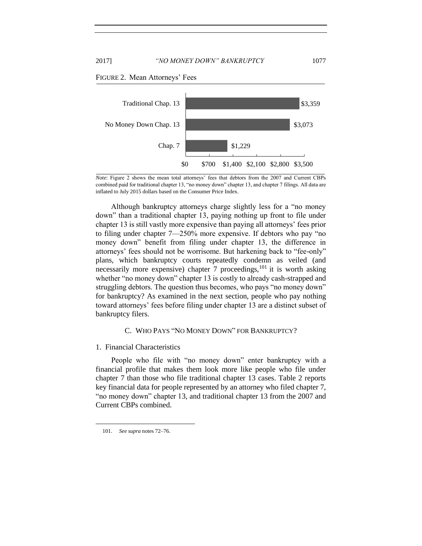#### FIGURE 2. Mean Attorneys' Fees



*Note*: Figure 2 shows the mean total attorneys' fees that debtors from the 2007 and Current CBPs combined paid for traditional chapter 13, "no money down" chapter 13, and chapter 7 filings. All data are inflated to July 2015 dollars based on the Consumer Price Index.

Although bankruptcy attorneys charge slightly less for a "no money down" than a traditional chapter 13, paying nothing up front to file under chapter 13 is still vastly more expensive than paying all attorneys' fees prior to filing under chapter 7—250% more expensive. If debtors who pay "no money down" benefit from filing under chapter 13, the difference in attorneys' fees should not be worrisome. But harkening back to "fee-only" plans, which bankruptcy courts repeatedly condemn as veiled (and necessarily more expensive) chapter  $\overline{7}$  proceedings,<sup>101</sup> it is worth asking whether "no money down" chapter 13 is costly to already cash-strapped and struggling debtors. The question thus becomes, who pays "no money down" for bankruptcy? As examined in the next section, people who pay nothing toward attorneys' fees before filing under chapter 13 are a distinct subset of bankruptcy filers.

## <span id="page-22-0"></span>C. WHO PAYS "NO MONEY DOWN" FOR BANKRUPTCY?

#### <span id="page-22-1"></span>1. Financial Characteristics

People who file with "no money down" enter bankruptcy with a financial profile that makes them look more like people who file under chapter 7 than those who file traditional chapter 13 cases. Table 2 reports key financial data for people represented by an attorney who filed chapter 7, "no money down" chapter 13, and traditional chapter 13 from the 2007 and Current CBPs combined.

 $\ddot{\phantom{a}}$ 

<sup>101.</sup> *See supra* notes 72–76.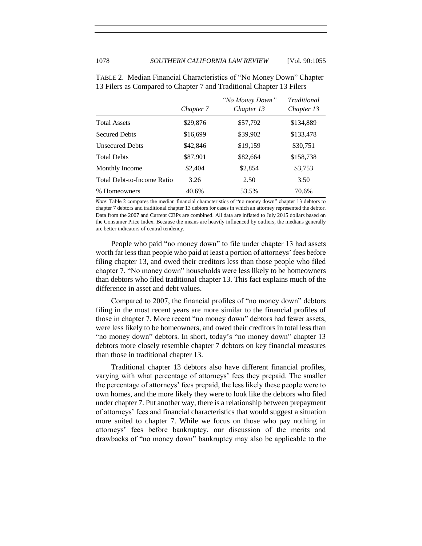|                            | Chapter 7 | "No Money Down"<br>Chapter 13 | <i>Traditional</i><br>Chapter 13 |
|----------------------------|-----------|-------------------------------|----------------------------------|
| <b>Total Assets</b>        | \$29,876  | \$57,792                      | \$134,889                        |
| <b>Secured Debts</b>       | \$16,699  | \$39,902                      | \$133,478                        |
| <b>Unsecured Debts</b>     | \$42,846  | \$19,159                      | \$30,751                         |
| <b>Total Debts</b>         | \$87,901  | \$82,664                      | \$158,738                        |
| Monthly Income             | \$2,404   | \$2,854                       | \$3,753                          |
| Total Debt-to-Income Ratio | 3.26      | 2.50                          | 3.50                             |
| % Homeowners               | 40.6%     | 53.5%                         | 70.6%                            |

TABLE 2. Median Financial Characteristics of "No Money Down" Chapter 13 Filers as Compared to Chapter 7 and Traditional Chapter 13 Filers

*Note*: Table 2 compares the median financial characteristics of "no money down" chapter 13 debtors to chapter 7 debtors and traditional chapter 13 debtors for cases in which an attorney represented the debtor. Data from the 2007 and Current CBPs are combined. All data are inflated to July 2015 dollars based on the Consumer Price Index. Because the means are heavily influenced by outliers, the medians generally are better indicators of central tendency.

People who paid "no money down" to file under chapter 13 had assets worth far less than people who paid at least a portion of attorneys' fees before filing chapter 13, and owed their creditors less than those people who filed chapter 7. "No money down" households were less likely to be homeowners than debtors who filed traditional chapter 13. This fact explains much of the difference in asset and debt values.

Compared to 2007, the financial profiles of "no money down" debtors filing in the most recent years are more similar to the financial profiles of those in chapter 7. More recent "no money down" debtors had fewer assets, were less likely to be homeowners, and owed their creditors in total less than "no money down" debtors. In short, today's "no money down" chapter 13 debtors more closely resemble chapter 7 debtors on key financial measures than those in traditional chapter 13.

Traditional chapter 13 debtors also have different financial profiles, varying with what percentage of attorneys' fees they prepaid. The smaller the percentage of attorneys' fees prepaid, the less likely these people were to own homes, and the more likely they were to look like the debtors who filed under chapter 7. Put another way, there is a relationship between prepayment of attorneys' fees and financial characteristics that would suggest a situation more suited to chapter 7. While we focus on those who pay nothing in attorneys' fees before bankruptcy, our discussion of the merits and drawbacks of "no money down" bankruptcy may also be applicable to the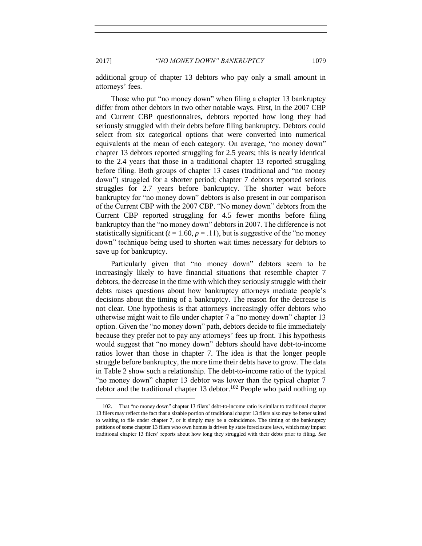2017] *"NO MONEY DOWN" BANKRUPTCY* 1079

additional group of chapter 13 debtors who pay only a small amount in attorneys' fees.

Those who put "no money down" when filing a chapter 13 bankruptcy differ from other debtors in two other notable ways. First, in the 2007 CBP and Current CBP questionnaires, debtors reported how long they had seriously struggled with their debts before filing bankruptcy. Debtors could select from six categorical options that were converted into numerical equivalents at the mean of each category. On average, "no money down" chapter 13 debtors reported struggling for 2.5 years; this is nearly identical to the 2.4 years that those in a traditional chapter 13 reported struggling before filing. Both groups of chapter 13 cases (traditional and "no money down") struggled for a shorter period; chapter 7 debtors reported serious struggles for 2.7 years before bankruptcy. The shorter wait before bankruptcy for "no money down" debtors is also present in our comparison of the Current CBP with the 2007 CBP. "No money down" debtors from the Current CBP reported struggling for 4.5 fewer months before filing bankruptcy than the "no money down" debtors in 2007. The difference is not statistically significant ( $t = 1.60$ ,  $p = .11$ ), but is suggestive of the "no money" down" technique being used to shorten wait times necessary for debtors to save up for bankruptcy.

Particularly given that "no money down" debtors seem to be increasingly likely to have financial situations that resemble chapter 7 debtors, the decrease in the time with which they seriously struggle with their debts raises questions about how bankruptcy attorneys mediate people's decisions about the timing of a bankruptcy. The reason for the decrease is not clear. One hypothesis is that attorneys increasingly offer debtors who otherwise might wait to file under chapter 7 a "no money down" chapter 13 option. Given the "no money down" path, debtors decide to file immediately because they prefer not to pay any attorneys' fees up front. This hypothesis would suggest that "no money down" debtors should have debt-to-income ratios lower than those in chapter 7. The idea is that the longer people struggle before bankruptcy, the more time their debts have to grow. The data in Table 2 show such a relationship. The debt-to-income ratio of the typical "no money down" chapter 13 debtor was lower than the typical chapter 7 debtor and the traditional chapter 13 debtor.<sup>102</sup> People who paid nothing up

<sup>102.</sup> That "no money down" chapter 13 filers' debt-to-income ratio is similar to traditional chapter 13 filers may reflect the fact that a sizable portion of traditional chapter 13 filers also may be better suited to waiting to file under chapter 7, or it simply may be a coincidence. The timing of the bankruptcy petitions of some chapter 13 filers who own homes is driven by state foreclosure laws, which may impact traditional chapter 13 filers' reports about how long they struggled with their debts prior to filing. *See*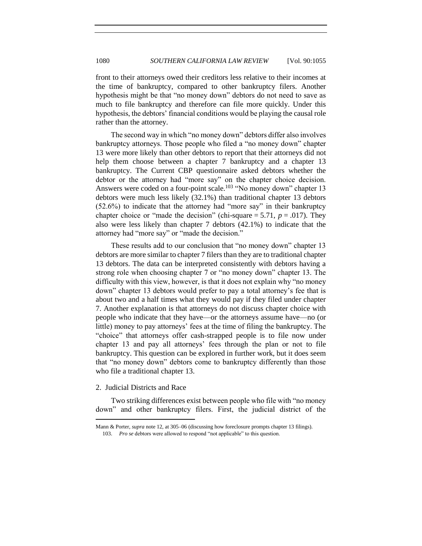front to their attorneys owed their creditors less relative to their incomes at the time of bankruptcy, compared to other bankruptcy filers. Another hypothesis might be that "no money down" debtors do not need to save as much to file bankruptcy and therefore can file more quickly. Under this hypothesis, the debtors' financial conditions would be playing the causal role rather than the attorney.

The second way in which "no money down" debtors differ also involves bankruptcy attorneys. Those people who filed a "no money down" chapter 13 were more likely than other debtors to report that their attorneys did not help them choose between a chapter 7 bankruptcy and a chapter 13 bankruptcy. The Current CBP questionnaire asked debtors whether the debtor or the attorney had "more say" on the chapter choice decision. Answers were coded on a four-point scale.<sup>103</sup> "No money down" chapter 13 debtors were much less likely (32.1%) than traditional chapter 13 debtors (52.6%) to indicate that the attorney had "more say" in their bankruptcy chapter choice or "made the decision" (chi-square  $= 5.71$ ,  $p = .017$ ). They also were less likely than chapter 7 debtors (42.1%) to indicate that the attorney had "more say" or "made the decision."

These results add to our conclusion that "no money down" chapter 13 debtors are more similar to chapter 7 filers than they are to traditional chapter 13 debtors. The data can be interpreted consistently with debtors having a strong role when choosing chapter 7 or "no money down" chapter 13. The difficulty with this view, however, is that it does not explain why "no money down" chapter 13 debtors would prefer to pay a total attorney's fee that is about two and a half times what they would pay if they filed under chapter 7. Another explanation is that attorneys do not discuss chapter choice with people who indicate that they have—or the attorneys assume have—no (or little) money to pay attorneys' fees at the time of filing the bankruptcy. The "choice" that attorneys offer cash-strapped people is to file now under chapter 13 and pay all attorneys' fees through the plan or not to file bankruptcy. This question can be explored in further work, but it does seem that "no money down" debtors come to bankruptcy differently than those who file a traditional chapter 13.

# <span id="page-25-0"></span>2. Judicial Districts and Race

 $\overline{a}$ 

Two striking differences exist between people who file with "no money down" and other bankruptcy filers. First, the judicial district of the

Mann & Porter, *supra* note 12, at 305–06 (discussing how foreclosure prompts chapter 13 filings).

<sup>103.</sup> *Pro se* debtors were allowed to respond "not applicable" to this question.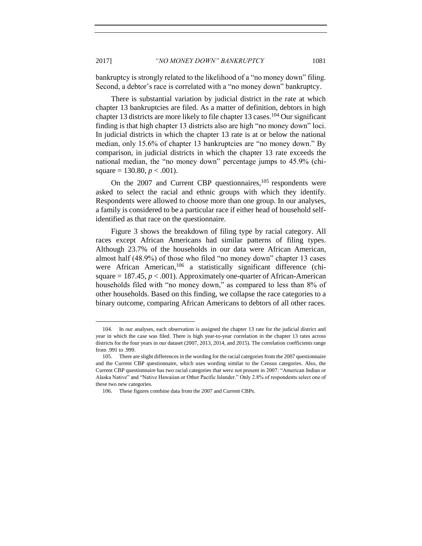bankruptcy is strongly related to the likelihood of a "no money down" filing. Second, a debtor's race is correlated with a "no money down" bankruptcy.

There is substantial variation by judicial district in the rate at which chapter 13 bankruptcies are filed. As a matter of definition, debtors in high chapter 13 districts are more likely to file chapter 13 cases.<sup>104</sup> Our significant finding is that high chapter 13 districts also are high "no money down" loci. In judicial districts in which the chapter 13 rate is at or below the national median, only 15.6% of chapter 13 bankruptcies are "no money down." By comparison, in judicial districts in which the chapter 13 rate exceeds the national median, the "no money down" percentage jumps to 45.9% (chisquare =  $130.80, p < .001$ ).

On the  $2007$  and Current CBP questionnaires,  $105$  respondents were asked to select the racial and ethnic groups with which they identify. Respondents were allowed to choose more than one group. In our analyses, a family is considered to be a particular race if either head of household selfidentified as that race on the questionnaire.

Figure 3 shows the breakdown of filing type by racial category. All races except African Americans had similar patterns of filing types. Although 23.7% of the households in our data were African American, almost half (48.9%) of those who filed "no money down" chapter 13 cases were African American,<sup>106</sup> a statistically significant difference (chisquare  $= 187.45$ ,  $p < .001$ ). Approximately one-quarter of African-American households filed with "no money down," as compared to less than  $8\%$  of other households. Based on this finding, we collapse the race categories to a binary outcome, comparing African Americans to debtors of all other races.

<sup>104.</sup> In our analyses, each observation is assigned the chapter 13 rate for the judicial district and year in which the case was filed. There is high year-to-year correlation in the chapter 13 rates across districts for the four years in our dataset (2007, 2013, 2014, and 2015). The correlation coefficients range from .991 to .999.

<sup>105.</sup> There are slight differences in the wording for the racial categories from the 2007 questionnaire and the Current CBP questionnaire, which uses wording similar to the Census categories. Also, the Current CBP questionnaire has two racial categories that were not present in 2007: "American Indian or Alaska Native" and "Native Hawaiian or Other Pacific Islander." Only 2.8% of respondents select one of these two new categories.

<sup>106.</sup> These figures combine data from the 2007 and Current CBPs.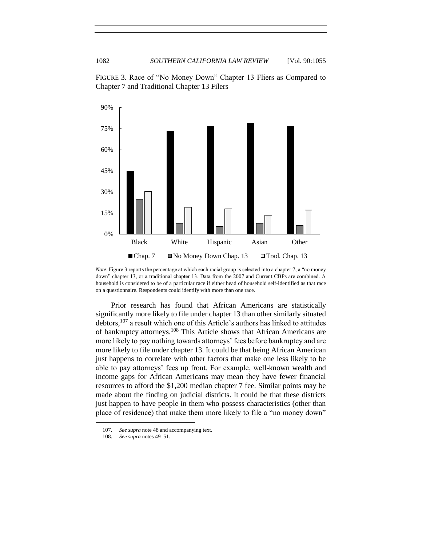

FIGURE 3. Race of "No Money Down" Chapter 13 Fliers as Compared to Chapter 7 and Traditional Chapter 13 Filers

Prior research has found that African Americans are statistically significantly more likely to file under chapter 13 than other similarly situated debtors,<sup>107</sup> a result which one of this Article's authors has linked to attitudes of bankruptcy attorneys.<sup>108</sup> This Article shows that African Americans are more likely to pay nothing towards attorneys' fees before bankruptcy and are more likely to file under chapter 13. It could be that being African American just happens to correlate with other factors that make one less likely to be able to pay attorneys' fees up front. For example, well-known wealth and income gaps for African Americans may mean they have fewer financial resources to afford the \$1,200 median chapter 7 fee. Similar points may be made about the finding on judicial districts. It could be that these districts just happen to have people in them who possess characteristics (other than place of residence) that make them more likely to file a "no money down"

*Note*: Figure 3 reports the percentage at which each racial group is selected into a chapter 7, a "no money" down" chapter 13, or a traditional chapter 13. Data from the 2007 and Current CBPs are combined. A household is considered to be of a particular race if either head of household self-identified as that race on a questionnaire. Respondents could identify with more than one race.

<sup>107.</sup> *See supra* note 48 and accompanying text.

<sup>108.</sup> *See supra* notes 49–51.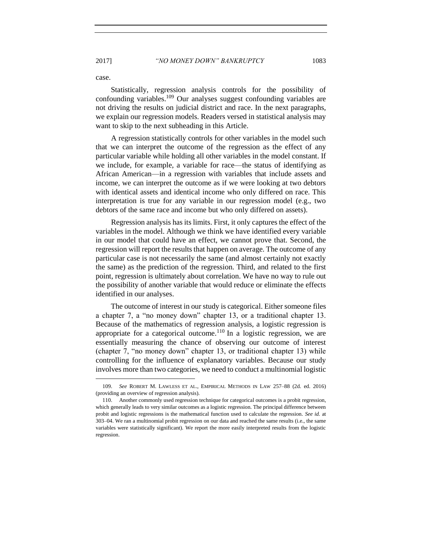Statistically, regression analysis controls for the possibility of confounding variables.<sup>109</sup> Our analyses suggest confounding variables are not driving the results on judicial district and race. In the next paragraphs, we explain our regression models. Readers versed in statistical analysis may want to skip to the next subheading in this Article.

A regression statistically controls for other variables in the model such that we can interpret the outcome of the regression as the effect of any particular variable while holding all other variables in the model constant. If we include, for example, a variable for race—the status of identifying as African American—in a regression with variables that include assets and income, we can interpret the outcome as if we were looking at two debtors with identical assets and identical income who only differed on race. This interpretation is true for any variable in our regression model (e.g., two debtors of the same race and income but who only differed on assets).

Regression analysis has its limits. First, it only captures the effect of the variables in the model. Although we think we have identified every variable in our model that could have an effect, we cannot prove that. Second, the regression will report the results that happen on average. The outcome of any particular case is not necessarily the same (and almost certainly not exactly the same) as the prediction of the regression. Third, and related to the first point, regression is ultimately about correlation. We have no way to rule out the possibility of another variable that would reduce or eliminate the effects identified in our analyses.

The outcome of interest in our study is categorical. Either someone files a chapter 7, a "no money down" chapter 13, or a traditional chapter 13. Because of the mathematics of regression analysis, a logistic regression is appropriate for a categorical outcome.<sup>110</sup> In a logistic regression, we are essentially measuring the chance of observing our outcome of interest (chapter 7, "no money down" chapter 13, or traditional chapter 13) while controlling for the influence of explanatory variables. Because our study involves more than two categories, we need to conduct a multinomial logistic

case.

 $\ddot{\phantom{a}}$ 

<sup>109.</sup> *See* ROBERT M. LAWLESS ET AL., EMPIRICAL METHODS IN LAW 257–88 (2d. ed. 2016) (providing an overview of regression analysis).

<sup>110.</sup> Another commonly used regression technique for categorical outcomes is a probit regression, which generally leads to very similar outcomes as a logistic regression. The principal difference between probit and logistic regressions is the mathematical function used to calculate the regression. *See id.* at 303–04. We ran a multinomial probit regression on our data and reached the same results (i.e., the same variables were statistically significant). We report the more easily interpreted results from the logistic regression.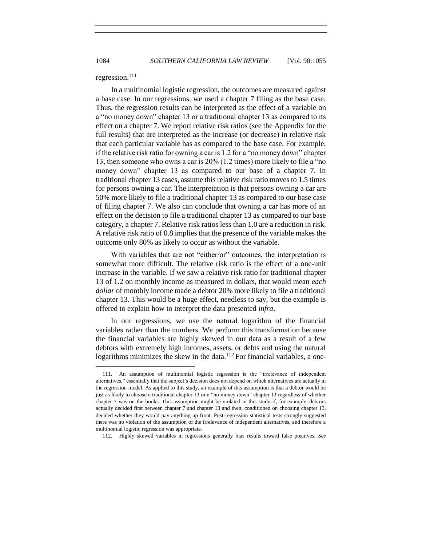# regression.<sup>111</sup>

In a multinomial logistic regression, the outcomes are measured against a base case. In our regressions, we used a chapter 7 filing as the base case. Thus, the regression results can be interpreted as the effect of a variable on a "no money down" chapter 13 or a traditional chapter 13 as compared to its effect on a chapter 7. We report relative risk ratios (see the Appendix for the full results) that are interpreted as the increase (or decrease) in relative risk that each particular variable has as compared to the base case. For example, if the relative risk ratio for owning a car is 1.2 for a "no money down" chapter 13, then someone who owns a car is 20% (1.2 times) more likely to file a "no money down" chapter 13 as compared to our base of a chapter 7. In traditional chapter 13 cases, assume this relative risk ratio moves to 1.5 times for persons owning a car. The interpretation is that persons owning a car are 50% more likely to file a traditional chapter 13 as compared to our base case of filing chapter 7. We also can conclude that owning a car has more of an effect on the decision to file a traditional chapter 13 as compared to our base category, a chapter 7. Relative risk ratios less than 1.0 are a reduction in risk. A relative risk ratio of 0.8 implies that the presence of the variable makes the outcome only 80% as likely to occur as without the variable.

With variables that are not "either/or" outcomes, the interpretation is somewhat more difficult. The relative risk ratio is the effect of a one-unit increase in the variable. If we saw a relative risk ratio for traditional chapter 13 of 1.2 on monthly income as measured in dollars, that would mean *each dollar* of monthly income made a debtor 20% more likely to file a traditional chapter 13. This would be a huge effect, needless to say, but the example is offered to explain how to interpret the data presented *infra*.

In our regressions, we use the natural logarithm of the financial variables rather than the numbers. We perform this transformation because the financial variables are highly skewed in our data as a result of a few debtors with extremely high incomes, assets, or debts and using the natural logarithms minimizes the skew in the data. $112$  For financial variables, a one-

112. Highly skewed variables in regressions generally bias results toward false positives. *See*

 $\ddot{\phantom{a}}$ 

<sup>111.</sup> An assumption of multinomial logistic regression is the "irrelevance of independent alternatives," essentially that the subject's decision does not depend on which alternatives are actually in the regression model. As applied to this study, an example of this assumption is that a debtor would be just as likely to choose a traditional chapter 13 or a "no money down" chapter 13 regardless of whether chapter 7 was on the books. This assumption might be violated in this study if, for example, debtors actually decided first between chapter 7 and chapter 13 and then, conditioned on choosing chapter 13, decided whether they would pay anything up front. Post-regression statistical tests strongly suggested there was no violation of the assumption of the irrelevance of independent alternatives, and therefore a multinomial logistic regression was appropriate.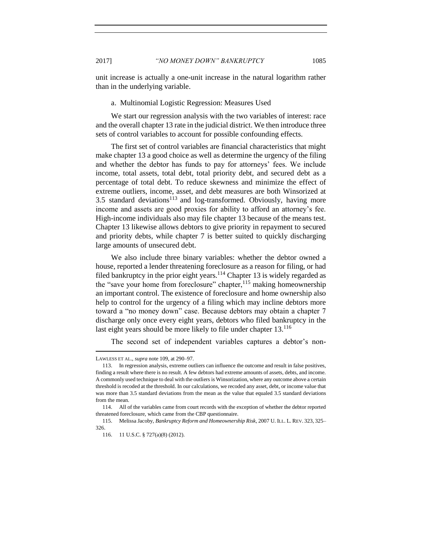unit increase is actually a one-unit increase in the natural logarithm rather than in the underlying variable.

#### a. Multinomial Logistic Regression: Measures Used

We start our regression analysis with the two variables of interest: race and the overall chapter 13 rate in the judicial district. We then introduce three sets of control variables to account for possible confounding effects.

The first set of control variables are financial characteristics that might make chapter 13 a good choice as well as determine the urgency of the filing and whether the debtor has funds to pay for attorneys' fees. We include income, total assets, total debt, total priority debt, and secured debt as a percentage of total debt. To reduce skewness and minimize the effect of extreme outliers, income, asset, and debt measures are both Winsorized at  $3.5$  standard deviations<sup>113</sup> and log-transformed. Obviously, having more income and assets are good proxies for ability to afford an attorney's fee. High-income individuals also may file chapter 13 because of the means test. Chapter 13 likewise allows debtors to give priority in repayment to secured and priority debts, while chapter 7 is better suited to quickly discharging large amounts of unsecured debt.

We also include three binary variables: whether the debtor owned a house, reported a lender threatening foreclosure as a reason for filing, or had filed bankruptcy in the prior eight years.<sup>114</sup> Chapter 13 is widely regarded as the "save your home from foreclosure" chapter, $115$  making homeownership an important control. The existence of foreclosure and home ownership also help to control for the urgency of a filing which may incline debtors more toward a "no money down" case. Because debtors may obtain a chapter 7 discharge only once every eight years, debtors who filed bankruptcy in the last eight years should be more likely to file under chapter 13.<sup>116</sup>

The second set of independent variables captures a debtor's non-

LAWLESS ET AL., *supra* note 109, at 290–97.

<sup>113.</sup> In regression analysis, extreme outliers can influence the outcome and result in false positives, finding a result where there is no result. A few debtors had extreme amounts of assets, debts, and income. A commonly used technique to deal with the outliers is Winsorization, where any outcome above a certain threshold is recoded at the threshold. In our calculations, we recoded any asset, debt, or income value that was more than 3.5 standard deviations from the mean as the value that equaled 3.5 standard deviations from the mean.

<sup>114.</sup> All of the variables came from court records with the exception of whether the debtor reported threatened foreclosure, which came from the CBP questionnaire.

<sup>115.</sup> Melissa Jacoby, *Bankruptcy Reform and Homeownership Risk*, 2007 U. ILL. L. REV. 323, 325– 326.

<sup>116.</sup> 11 U.S.C. § 727(a)(8) (2012).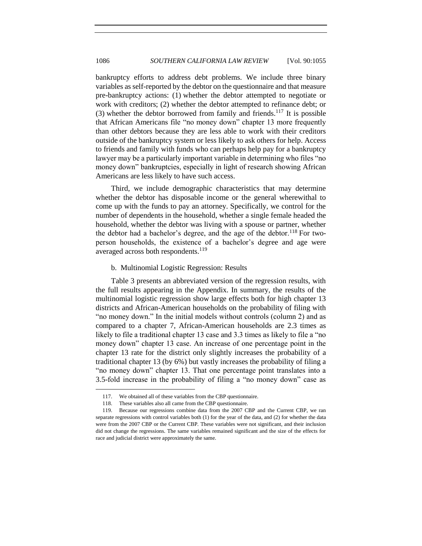bankruptcy efforts to address debt problems. We include three binary variables as self-reported by the debtor on the questionnaire and that measure pre-bankruptcy actions: (1) whether the debtor attempted to negotiate or work with creditors; (2) whether the debtor attempted to refinance debt; or (3) whether the debtor borrowed from family and friends.<sup>117</sup> It is possible that African Americans file "no money down" chapter 13 more frequently than other debtors because they are less able to work with their creditors outside of the bankruptcy system or less likely to ask others for help. Access to friends and family with funds who can perhaps help pay for a bankruptcy lawyer may be a particularly important variable in determining who files "no money down" bankruptcies, especially in light of research showing African Americans are less likely to have such access.

Third, we include demographic characteristics that may determine whether the debtor has disposable income or the general wherewithal to come up with the funds to pay an attorney. Specifically, we control for the number of dependents in the household, whether a single female headed the household, whether the debtor was living with a spouse or partner, whether the debtor had a bachelor's degree, and the age of the debtor.<sup>118</sup> For twoperson households, the existence of a bachelor's degree and age were averaged across both respondents.<sup>119</sup>

## b. Multinomial Logistic Regression: Results

Table 3 presents an abbreviated version of the regression results, with the full results appearing in the Appendix. In summary, the results of the multinomial logistic regression show large effects both for high chapter 13 districts and African-American households on the probability of filing with "no money down." In the initial models without controls (column 2) and as compared to a chapter 7, African-American households are 2.3 times as likely to file a traditional chapter 13 case and 3.3 times as likely to file a "no money down" chapter 13 case. An increase of one percentage point in the chapter 13 rate for the district only slightly increases the probability of a traditional chapter 13 (by 6%) but vastly increases the probability of filing a "no money down" chapter 13. That one percentage point translates into a 3.5-fold increase in the probability of filing a "no money down" case as

 $\ddot{\phantom{a}}$ 

<sup>117.</sup> We obtained all of these variables from the CBP questionnaire.

<sup>118.</sup> These variables also all came from the CBP questionnaire.

<sup>119.</sup> Because our regressions combine data from the 2007 CBP and the Current CBP, we ran separate regressions with control variables both (1) for the year of the data, and (2) for whether the data were from the 2007 CBP or the Current CBP. These variables were not significant, and their inclusion did not change the regressions. The same variables remained significant and the size of the effects for race and judicial district were approximately the same.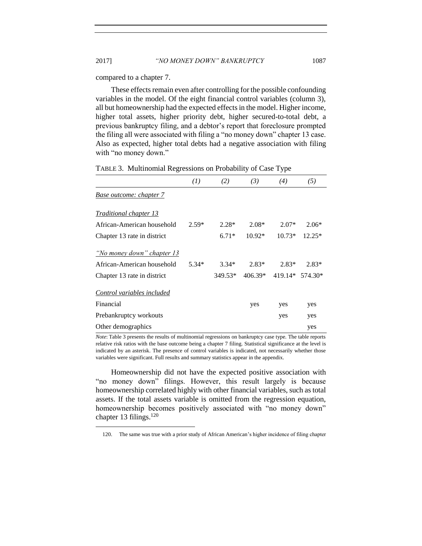compared to a chapter 7.

These effects remain even after controlling for the possible confounding variables in the model. Of the eight financial control variables (column 3), all but homeownership had the expected effects in the model. Higher income, higher total assets, higher priority debt, higher secured-to-total debt, a previous bankruptcy filing, and a debtor's report that foreclosure prompted the filing all were associated with filing a "no money down" chapter 13 case. Also as expected, higher total debts had a negative association with filing with "no money down."

|                                   | (1)     | (2)     | (3)       | (4)      | (5)      |
|-----------------------------------|---------|---------|-----------|----------|----------|
| <b>Base outcome: chapter 7</b>    |         |         |           |          |          |
| Traditional chapter 13            |         |         |           |          |          |
| African-American household        | $2.59*$ | $2.28*$ | $2.08*$   | $2.07*$  | $2.06*$  |
| Chapter 13 rate in district       |         | $6.71*$ | $10.92*$  | $10.73*$ | $12.25*$ |
| <u>"No money down" chapter 13</u> |         |         |           |          |          |
| African-American household        | $5.34*$ | $3.34*$ | $2.83*$   | $2.83*$  | $2.83*$  |
| Chapter 13 rate in district       |         | 349.53* | $406.39*$ | 419.14*  | 574.30*  |
| Control variables included        |         |         |           |          |          |
| Financial                         |         |         | yes       | yes      | yes      |
| Prebankruptcy workouts            |         |         |           | yes      | yes      |
| Other demographics                |         |         |           |          | yes      |

TABLE 3. Multinomial Regressions on Probability of Case Type

*Note*: Table 3 presents the results of multinomial regressions on bankruptcy case type. The table reports relative risk ratios with the base outcome being a chapter 7 filing. Statistical significance at the level is indicated by an asterisk. The presence of control variables is indicated, not necessarily whether those variables were significant. Full results and summary statistics appear in the appendix.

Homeownership did not have the expected positive association with "no money down" filings. However, this result largely is because homeownership correlated highly with other financial variables, such as total assets. If the total assets variable is omitted from the regression equation, homeownership becomes positively associated with "no money down" chapter 13 filings.<sup>120</sup>

<sup>120.</sup> The same was true with a prior study of African American's higher incidence of filing chapter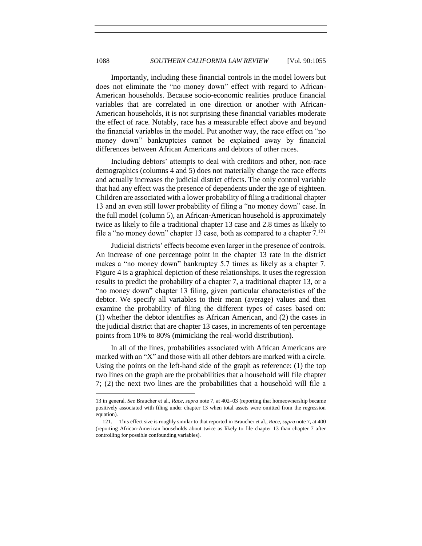Importantly, including these financial controls in the model lowers but does not eliminate the "no money down" effect with regard to African-American households. Because socio-economic realities produce financial variables that are correlated in one direction or another with African-American households, it is not surprising these financial variables moderate the effect of race. Notably, race has a measurable effect above and beyond the financial variables in the model. Put another way, the race effect on "no money down" bankruptcies cannot be explained away by financial differences between African Americans and debtors of other races.

Including debtors' attempts to deal with creditors and other, non-race demographics (columns 4 and 5) does not materially change the race effects and actually increases the judicial district effects. The only control variable that had any effect was the presence of dependents under the age of eighteen. Children are associated with a lower probability of filing a traditional chapter 13 and an even still lower probability of filing a "no money down" case. In the full model (column 5), an African-American household is approximately twice as likely to file a traditional chapter 13 case and 2.8 times as likely to file a "no money down" chapter 13 case, both as compared to a chapter  $7^{121}$ 

Judicial districts' effects become even larger in the presence of controls. An increase of one percentage point in the chapter 13 rate in the district makes a "no money down" bankruptcy 5.7 times as likely as a chapter 7. Figure 4 is a graphical depiction of these relationships. It uses the regression results to predict the probability of a chapter 7, a traditional chapter 13, or a "no money down" chapter 13 filing, given particular characteristics of the debtor. We specify all variables to their mean (average) values and then examine the probability of filing the different types of cases based on: (1) whether the debtor identifies as African American, and (2) the cases in the judicial district that are chapter 13 cases, in increments of ten percentage points from 10% to 80% (mimicking the real-world distribution).

In all of the lines, probabilities associated with African Americans are marked with an "X" and those with all other debtors are marked with a circle. Using the points on the left-hand side of the graph as reference: (1) the top two lines on the graph are the probabilities that a household will file chapter 7; (2) the next two lines are the probabilities that a household will file a

 $\ddot{\phantom{a}}$ 

<sup>13</sup> in general. *See* Braucher et al., *Race*, *supra* note 7, at 402–03 (reporting that homeownership became positively associated with filing under chapter 13 when total assets were omitted from the regression equation).

<sup>121.</sup> This effect size is roughly similar to that reported in Braucher et al., *Race*, *supra* note 7, at 400 (reporting African-American households about twice as likely to file chapter 13 than chapter 7 after controlling for possible confounding variables).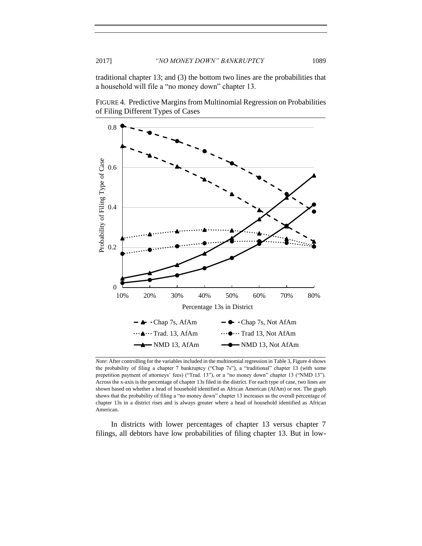# 2017] *"NO MONEY DOWN" BANKRUPTCY* 1089

traditional chapter 13; and (3) the bottom two lines are the probabilities that a household will file a "no money down" chapter 13.





*Note*: After controlling for the variables included in the multinomial regression in Table 3, Figure 4 shows the probability of filing a chapter 7 bankruptcy ("Chap 7s"), a "traditional" chapter 13 (with some prepetition payment of attorneys' fees) ("Trad. 13"), or a "no money down" chapter 13 ("NMD 13"). Across the x-axis is the percentage of chapter 13s filed in the district. For each type of case, two lines are shown based on whether a head of household identified as African American (AfAm) or not. The graph shows that the probability of filing a "no money down" chapter 13 increases as the overall percentage of chapter 13s in a district rises and is always greater where a head of household identified as African American.

In districts with lower percentages of chapter 13 versus chapter 7 filings, all debtors have low probabilities of filing chapter 13. But in low-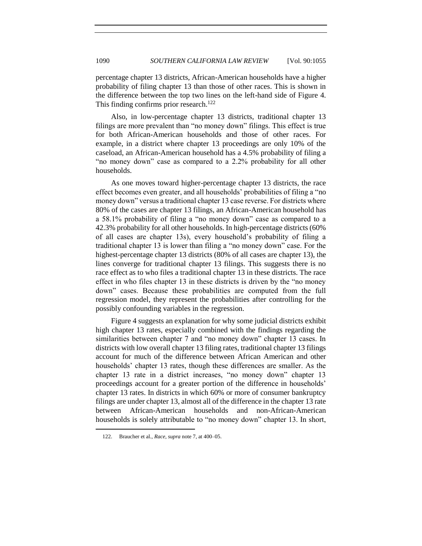percentage chapter 13 districts, African-American households have a higher probability of filing chapter 13 than those of other races. This is shown in the difference between the top two lines on the left-hand side of Figure 4. This finding confirms prior research.<sup>122</sup>

Also, in low-percentage chapter 13 districts, traditional chapter 13 filings are more prevalent than "no money down" filings. This effect is true for both African-American households and those of other races. For example, in a district where chapter 13 proceedings are only 10% of the caseload, an African-American household has a 4.5% probability of filing a "no money down" case as compared to a 2.2% probability for all other households.

As one moves toward higher-percentage chapter 13 districts, the race effect becomes even greater, and all households' probabilities of filing a "no money down" versus a traditional chapter 13 case reverse. For districts where 80% of the cases are chapter 13 filings, an African-American household has a 58.1% probability of filing a "no money down" case as compared to a 42.3% probability for all other households. In high-percentage districts (60% of all cases are chapter 13s), every household's probability of filing a traditional chapter 13 is lower than filing a "no money down" case. For the highest-percentage chapter 13 districts (80% of all cases are chapter 13), the lines converge for traditional chapter 13 filings. This suggests there is no race effect as to who files a traditional chapter 13 in these districts. The race effect in who files chapter 13 in these districts is driven by the "no money down" cases. Because these probabilities are computed from the full regression model, they represent the probabilities after controlling for the possibly confounding variables in the regression.

Figure 4 suggests an explanation for why some judicial districts exhibit high chapter 13 rates, especially combined with the findings regarding the similarities between chapter 7 and "no money down" chapter 13 cases. In districts with low overall chapter 13 filing rates, traditional chapter 13 filings account for much of the difference between African American and other households' chapter 13 rates, though these differences are smaller. As the chapter 13 rate in a district increases, "no money down" chapter 13 proceedings account for a greater portion of the difference in households' chapter 13 rates. In districts in which 60% or more of consumer bankruptcy filings are under chapter 13, almost all of the difference in the chapter 13 rate between African-American households and non-African-American households is solely attributable to "no money down" chapter 13. In short,

<sup>122.</sup> Braucher et al., *Race*, *supra* note 7, at 400–05.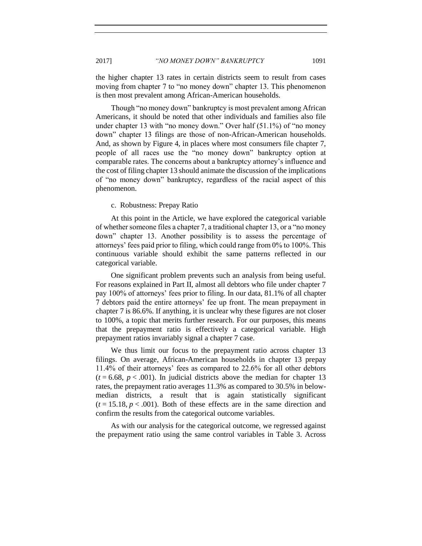the higher chapter 13 rates in certain districts seem to result from cases moving from chapter 7 to "no money down" chapter 13. This phenomenon is then most prevalent among African-American households.

Though "no money down" bankruptcy is most prevalent among African Americans, it should be noted that other individuals and families also file under chapter 13 with "no money down." Over half (51.1%) of "no money down" chapter 13 filings are those of non-African-American households. And, as shown by Figure 4, in places where most consumers file chapter 7, people of all races use the "no money down" bankruptcy option at comparable rates. The concerns about a bankruptcy attorney's influence and the cost of filing chapter 13 should animate the discussion of the implications of "no money down" bankruptcy, regardless of the racial aspect of this phenomenon.

c. Robustness: Prepay Ratio

At this point in the Article, we have explored the categorical variable of whether someone files a chapter 7, a traditional chapter 13, or a "no money down" chapter 13. Another possibility is to assess the percentage of attorneys' fees paid prior to filing, which could range from 0% to 100%. This continuous variable should exhibit the same patterns reflected in our categorical variable.

One significant problem prevents such an analysis from being useful. For reasons explained in Part II, almost all debtors who file under chapter 7 pay 100% of attorneys' fees prior to filing. In our data, 81.1% of all chapter 7 debtors paid the entire attorneys' fee up front. The mean prepayment in chapter 7 is 86.6%. If anything, it is unclear why these figures are not closer to 100%, a topic that merits further research. For our purposes, this means that the prepayment ratio is effectively a categorical variable. High prepayment ratios invariably signal a chapter 7 case.

We thus limit our focus to the prepayment ratio across chapter 13 filings. On average, African-American households in chapter 13 prepay 11.4% of their attorneys' fees as compared to 22.6% for all other debtors  $(t = 6.68, p < .001)$ . In judicial districts above the median for chapter 13 rates, the prepayment ratio averages 11.3% as compared to 30.5% in belowmedian districts, a result that is again statistically significant  $(t = 15.18, p < .001)$ . Both of these effects are in the same direction and confirm the results from the categorical outcome variables.

As with our analysis for the categorical outcome, we regressed against the prepayment ratio using the same control variables in Table 3. Across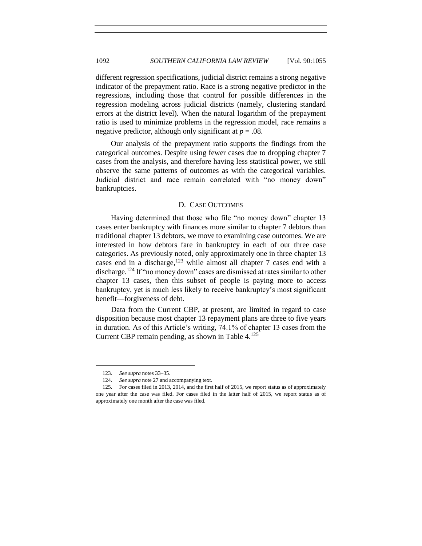different regression specifications, judicial district remains a strong negative indicator of the prepayment ratio. Race is a strong negative predictor in the regressions, including those that control for possible differences in the regression modeling across judicial districts (namely, clustering standard errors at the district level). When the natural logarithm of the prepayment ratio is used to minimize problems in the regression model, race remains a negative predictor, although only significant at *p* = .08.

Our analysis of the prepayment ratio supports the findings from the categorical outcomes. Despite using fewer cases due to dropping chapter 7 cases from the analysis, and therefore having less statistical power, we still observe the same patterns of outcomes as with the categorical variables. Judicial district and race remain correlated with "no money down" bankruptcies.

# D. CASE OUTCOMES

<span id="page-37-0"></span>Having determined that those who file "no money down" chapter 13 cases enter bankruptcy with finances more similar to chapter 7 debtors than traditional chapter 13 debtors, we move to examining case outcomes. We are interested in how debtors fare in bankruptcy in each of our three case categories. As previously noted, only approximately one in three chapter 13 cases end in a discharge,  $123$  while almost all chapter 7 cases end with a discharge.<sup>124</sup> If "no money down" cases are dismissed at rates similar to other chapter 13 cases, then this subset of people is paying more to access bankruptcy, yet is much less likely to receive bankruptcy's most significant benefit—forgiveness of debt.

Data from the Current CBP, at present, are limited in regard to case disposition because most chapter 13 repayment plans are three to five years in duration. As of this Article's writing, 74.1% of chapter 13 cases from the Current CBP remain pending, as shown in Table  $4.125$ 

<sup>123.</sup> *See supra* notes 33–35.

<sup>124.</sup> *See supra* note 27 and accompanying text.

<sup>125.</sup> For cases filed in 2013, 2014, and the first half of 2015, we report status as of approximately one year after the case was filed. For cases filed in the latter half of 2015, we report status as of approximately one month after the case was filed.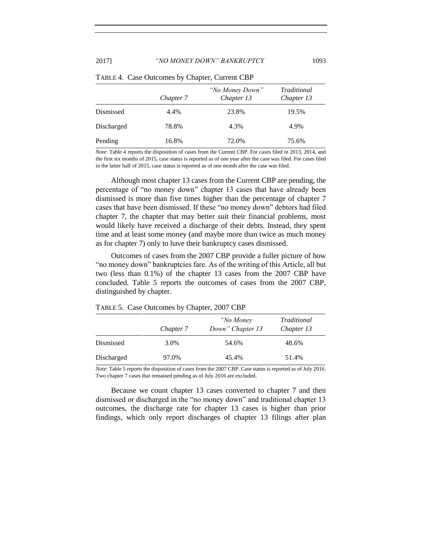|            | Chapter 7 | "No Money Down"<br>Chapter 13 | Traditional<br>Chapter 13 |
|------------|-----------|-------------------------------|---------------------------|
| Dismissed  | 4.4%      | 23.8%                         | 19.5%                     |
| Discharged | 78.8%     | 4.3%                          | 4.9%                      |
| Pending    | 16.8%     | 72.0%                         | 75.6%                     |

TABLE 4. Case Outcomes by Chapter, Current CBP

*Note*: Table 4 reports the disposition of cases from the Current CBP. For cases filed in 2013, 2014, and the first six months of 2015, case status is reported as of one year after the case was filed. For cases filed in the latter half of 2015, case status is reported as of one month after the case was filed.

Although most chapter 13 cases from the Current CBP are pending, the percentage of "no money down" chapter 13 cases that have already been dismissed is more than five times higher than the percentage of chapter 7 cases that have been dismissed. If these "no money down" debtors had filed chapter 7, the chapter that may better suit their financial problems, most would likely have received a discharge of their debts. Instead, they spent time and at least some money (and maybe more than twice as much money as for chapter 7) only to have their bankruptcy cases dismissed.

Outcomes of cases from the 2007 CBP provide a fuller picture of how "no money down" bankruptcies fare. As of the writing of this Article, all but two (less than 0.1%) of the chapter 13 cases from the 2007 CBP have concluded. Table 5 reports the outcomes of cases from the 2007 CBP, distinguished by chapter.

TABLE 5. Case Outcomes by Chapter, 2007 CBP

|            | Chapter 7 | "No Money<br>Down" Chapter 13 | Traditional<br>Chapter 13 |
|------------|-----------|-------------------------------|---------------------------|
| Dismissed  | 3.0%      | 54.6%                         | 48.6%                     |
| Discharged | 97.0%     | 45.4%                         | 51.4%                     |

*Note*: Table 5 reports the disposition of cases from the 2007 CBP. Case status is reported as of July 2016. Two chapter 7 cases that remained pending as of July 2016 are excluded.

Because we count chapter 13 cases converted to chapter 7 and then dismissed or discharged in the "no money down" and traditional chapter 13 outcomes, the discharge rate for chapter 13 cases is higher than prior findings, which only report discharges of chapter 13 filings after plan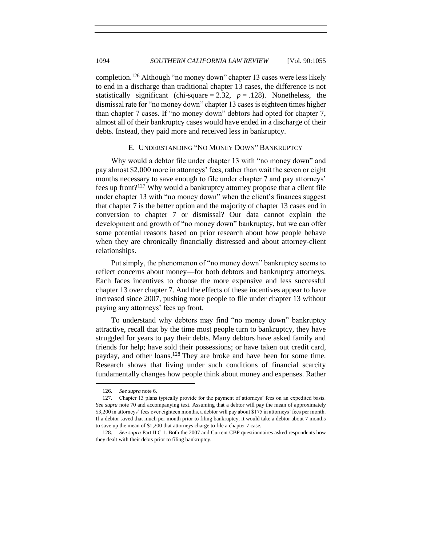completion.<sup>126</sup> Although "no money down" chapter 13 cases were less likely to end in a discharge than traditional chapter 13 cases, the difference is not statistically significant (chi-square  $= 2.32$ ,  $p = .128$ ). Nonetheless, the dismissal rate for "no money down" chapter 13 cases is eighteen times higher than chapter 7 cases. If "no money down" debtors had opted for chapter 7, almost all of their bankruptcy cases would have ended in a discharge of their debts. Instead, they paid more and received less in bankruptcy.

# E. UNDERSTANDING "NO MONEY DOWN" BANKRUPTCY

<span id="page-39-0"></span>Why would a debtor file under chapter 13 with "no money down" and pay almost \$2,000 more in attorneys' fees, rather than wait the seven or eight months necessary to save enough to file under chapter 7 and pay attorneys' fees up front?<sup>127</sup> Why would a bankruptcy attorney propose that a client file under chapter 13 with "no money down" when the client's finances suggest that chapter 7 is the better option and the majority of chapter 13 cases end in conversion to chapter 7 or dismissal? Our data cannot explain the development and growth of "no money down" bankruptcy, but we can offer some potential reasons based on prior research about how people behave when they are chronically financially distressed and about attorney-client relationships.

Put simply, the phenomenon of "no money down" bankruptcy seems to reflect concerns about money—for both debtors and bankruptcy attorneys. Each faces incentives to choose the more expensive and less successful chapter 13 over chapter 7. And the effects of these incentives appear to have increased since 2007, pushing more people to file under chapter 13 without paying any attorneys' fees up front.

To understand why debtors may find "no money down" bankruptcy attractive, recall that by the time most people turn to bankruptcy, they have struggled for years to pay their debts. Many debtors have asked family and friends for help; have sold their possessions; or have taken out credit card, payday, and other loans.<sup>128</sup> They are broke and have been for some time. Research shows that living under such conditions of financial scarcity fundamentally changes how people think about money and expenses. Rather

<sup>126.</sup> *See supra* note 6.

<sup>127.</sup> Chapter 13 plans typically provide for the payment of attorneys' fees on an expedited basis. *See supra* note 70 and accompanying text. Assuming that a debtor will pay the mean of approximately \$3,200 in attorneys' fees over eighteen months, a debtor will pay about \$175 in attorneys' fees per month. If a debtor saved that much per month prior to filing bankruptcy, it would take a debtor about 7 months to save up the mean of \$1,200 that attorneys charge to file a chapter 7 case.

<sup>128.</sup> *See supra* Part II.C.1. Both the 2007 and Current CBP questionnaires asked respondents how they dealt with their debts prior to filing bankruptcy.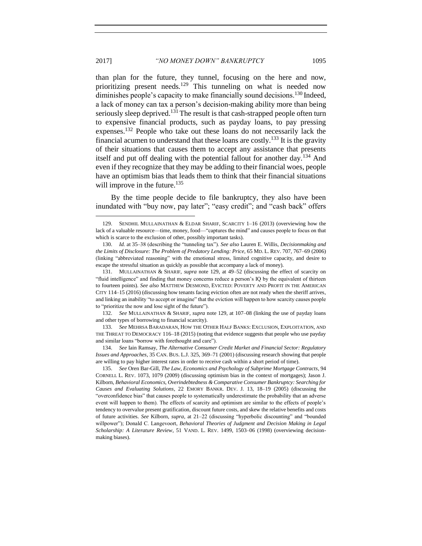than plan for the future, they tunnel, focusing on the here and now, prioritizing present needs.<sup>129</sup> This tunneling on what is needed now diminishes people's capacity to make financially sound decisions.<sup>130</sup> Indeed, a lack of money can tax a person's decision-making ability more than being seriously sleep deprived.<sup>131</sup> The result is that cash-strapped people often turn to expensive financial products, such as payday loans, to pay pressing expenses.<sup>132</sup> People who take out these loans do not necessarily lack the financial acumen to understand that these loans are costly.<sup>133</sup> It is the gravity of their situations that causes them to accept any assistance that presents itself and put off dealing with the potential fallout for another day.<sup>134</sup> And even if they recognize that they may be adding to their financial woes, people have an optimism bias that leads them to think that their financial situations will improve in the future.<sup>135</sup>

By the time people decide to file bankruptcy, they also have been inundated with "buy now, pay later"; "easy credit"; and "cash back" offers

 $\overline{a}$ 

132. *See* MULLAINATHAN & SHARIF, *supra* note 129, at 107–08 (linking the use of payday loans and other types of borrowing to financial scarcity).

133. *See* MEHRSA BARADARAN, HOW THE OTHER HALF BANKS: EXCLUSION, EXPLOITATION, AND THE THREAT TO DEMOCRACY 116–18 (2015) (noting that evidence suggests that people who use payday and similar loans "borrow with forethought and care").

134. *See* Iain Ramsay, *The Alternative Consumer Credit Market and Financial Sector: Regulatory Issues and Approaches*, 35 CAN. BUS. L.J. 325, 369–71 (2001) (discussing research showing that people are willing to pay higher interest rates in order to receive cash within a short period of time).

135. *See* Oren Bar-Gill, *The Law, Economics and Psychology of Subprime Mortgage Contracts*, 94 CORNELL L. REV. 1073, 1079 (2009) (discussing optimism bias in the context of mortgages); Jason J. Kilborn, *Behavioral Economics, Overindebtedness & Comparative Consumer Bankruptcy: Searching for Causes and Evaluating Solutions*, 22 EMORY BANKR. DEV. J. 13, 18–19 (2005) (discussing the "overconfidence bias" that causes people to systematically underestimate the probability that an adverse event will happen to them). The effects of scarcity and optimism are similar to the effects of people's tendency to overvalue present gratification, discount future costs, and skew the relative benefits and costs of future activities. *See* Kilborn, *supra*, at 21–22 (discussing "hyperbolic discounting" and "bounded willpower"); Donald C. Langevoort, *Behavioral Theories of Judgment and Decision Making in Legal Scholarship: A Literature Review*, 51 VAND. L. REV. 1499, 1503–06 (1998) (overviewing decisionmaking biases).

<sup>129.</sup> SENDHIL MULLAINATHAN & ELDAR SHARIF, SCARCITY 1–16 (2013) (overviewing how the lack of a valuable resource—time, money, food—"captures the mind" and causes people to focus on that which is scarce to the exclusion of other, possibly important tasks).

<sup>130.</sup> *Id.* at 35–38 (describing the "tunneling tax"). *See also* Lauren E. Willis, *Decisionmaking and the Limits of Disclosure: The Problem of Predatory Lending: Price*, 65 MD. L. REV. 707, 767–69 (2006) (linking "abbreviated reasoning" with the emotional stress, limited cognitive capacity, and desire to escape the stressful situation as quickly as possible that accompany a lack of money).

<sup>131.</sup> MULLAINATHAN & SHARIF, *supra* note 129, at 49–52 (discussing the effect of scarcity on "fluid intelligence" and finding that money concerns reduce a person's IQ by the equivalent of thirteen to fourteen points). *See also* MATTHEW DESMOND, EVICTED: POVERTY AND PROFIT IN THE AMERICAN CITY 114–15 (2016) (discussing how tenants facing eviction often are not ready when the sheriff arrives, and linking an inability "to accept or imagine" that the eviction will happen to how scarcity causes people to "prioritize the now and lose sight of the future").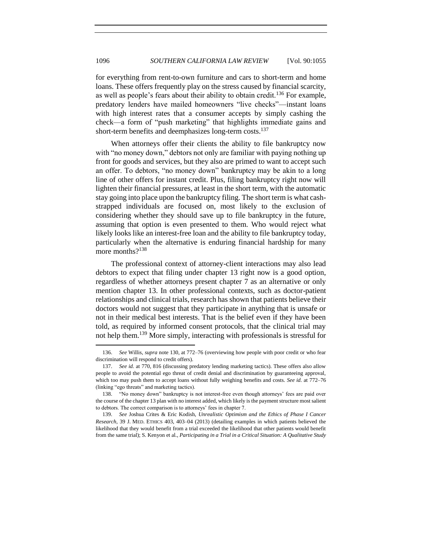for everything from rent-to-own furniture and cars to short-term and home loans. These offers frequently play on the stress caused by financial scarcity, as well as people's fears about their ability to obtain credit.<sup>136</sup> For example, predatory lenders have mailed homeowners "live checks"—instant loans with high interest rates that a consumer accepts by simply cashing the check—a form of "push marketing" that highlights immediate gains and short-term benefits and deemphasizes long-term costs.<sup>137</sup>

When attorneys offer their clients the ability to file bankruptcy now with "no money down," debtors not only are familiar with paying nothing up front for goods and services, but they also are primed to want to accept such an offer. To debtors, "no money down" bankruptcy may be akin to a long line of other offers for instant credit. Plus, filing bankruptcy right now will lighten their financial pressures, at least in the short term, with the automatic stay going into place upon the bankruptcy filing. The short term is what cashstrapped individuals are focused on, most likely to the exclusion of considering whether they should save up to file bankruptcy in the future, assuming that option is even presented to them. Who would reject what likely looks like an interest-free loan and the ability to file bankruptcy today, particularly when the alternative is enduring financial hardship for many more months?<sup>138</sup>

The professional context of attorney-client interactions may also lead debtors to expect that filing under chapter 13 right now is a good option, regardless of whether attorneys present chapter 7 as an alternative or only mention chapter 13. In other professional contexts, such as doctor-patient relationships and clinical trials, research has shown that patients believe their doctors would not suggest that they participate in anything that is unsafe or not in their medical best interests. That is the belief even if they have been told, as required by informed consent protocols, that the clinical trial may not help them.<sup>139</sup> More simply, interacting with professionals is stressful for

<sup>136.</sup> *See* Willis, *supra* note 130, at 772–76 (overviewing how people with poor credit or who fear discrimination will respond to credit offers).

<sup>137.</sup> *See id.* at 770, 816 (discussing predatory lending marketing tactics). These offers also allow people to avoid the potential ego threat of credit denial and discrimination by guaranteeing approval, which too may push them to accept loans without fully weighing benefits and costs. *See id.* at 772–76 (linking "ego threats" and marketing tactics).

<sup>138.</sup> "No money down" bankruptcy is not interest-free even though attorneys' fees are paid over the course of the chapter 13 plan with no interest added, which likely is the payment structure most salient to debtors. The correct comparison is to attorneys' fees in chapter 7.

<sup>139.</sup> *See* Joshua Crites & Eric Kodish, *Unrealistic Optimism and the Ethics of Phase I Cancer Research*, 39 J. MED. ETHICS 403, 403–04 (2013) (detailing examples in which patients believed the likelihood that they would benefit from a trial exceeded the likelihood that other patients would benefit from the same trial); S. Kenyon et al., *Participating in a Trial in a Critical Situation: A Qualitative Study*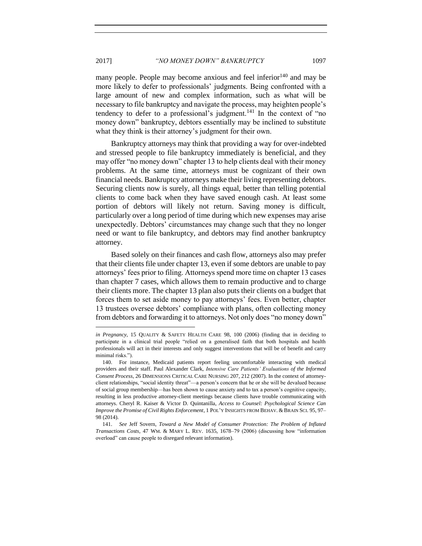many people. People may become anxious and feel inferior  $140$  and may be more likely to defer to professionals' judgments. Being confronted with a large amount of new and complex information, such as what will be necessary to file bankruptcy and navigate the process, may heighten people's tendency to defer to a professional's judgment.<sup>141</sup> In the context of "no money down" bankruptcy, debtors essentially may be inclined to substitute what they think is their attorney's judgment for their own.

Bankruptcy attorneys may think that providing a way for over-indebted and stressed people to file bankruptcy immediately is beneficial, and they may offer "no money down" chapter 13 to help clients deal with their money problems. At the same time, attorneys must be cognizant of their own financial needs. Bankruptcy attorneys make their living representing debtors. Securing clients now is surely, all things equal, better than telling potential clients to come back when they have saved enough cash. At least some portion of debtors will likely not return. Saving money is difficult, particularly over a long period of time during which new expenses may arise unexpectedly. Debtors' circumstances may change such that they no longer need or want to file bankruptcy, and debtors may find another bankruptcy attorney.

Based solely on their finances and cash flow, attorneys also may prefer that their clients file under chapter 13, even if some debtors are unable to pay attorneys' fees prior to filing. Attorneys spend more time on chapter 13 cases than chapter 7 cases, which allows them to remain productive and to charge their clients more. The chapter 13 plan also puts their clients on a budget that forces them to set aside money to pay attorneys' fees. Even better, chapter 13 trustees oversee debtors' compliance with plans, often collecting money from debtors and forwarding it to attorneys. Not only does "no money down"

*in Pregnancy*, 15 QUALITY & SAFETY HEALTH CARE 98, 100 (2006) (finding that in deciding to participate in a clinical trial people "relied on a generalised faith that both hospitals and health professionals will act in their interests and only suggest interventions that will be of benefit and carry minimal risks.")

<sup>140.</sup> For instance, Medicaid patients report feeling uncomfortable interacting with medical providers and their staff. Paul Alexander Clark, *Intensive Care Patients' Evaluations of the Informed Consent Process*, 26 DIMENSIONS CRITICAL CARE NURSING 207, 212 (2007). In the context of attorneyclient relationships, "social identity threat"—a person's concern that he or she will be devalued because of social group membership—has been shown to cause anxiety and to tax a person's cognitive capacity, resulting in less productive attorney-client meetings because clients have trouble communicating with attorneys. Cheryl R. Kaiser & Victor D. Quintanilla, *Access to Counsel: Psychological Science Can Improve the Promise of Civil Rights Enforcement*, 1 POL'Y INSIGHTS FROM BEHAV. & BRAIN SCI. 95, 97– 98 (2014).

<sup>141.</sup> *See* Jeff Sovern, *Toward a New Model of Consumer Protection: The Problem of Inflated Transactions Costs*, 47 WM. & MARY L. REV. 1635, 1678–79 (2006) (discussing how "information overload" can cause people to disregard relevant information).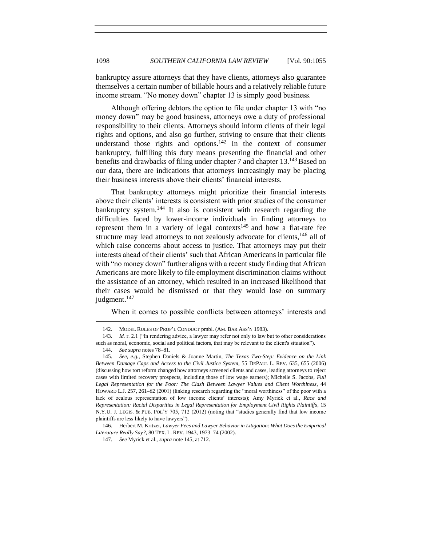bankruptcy assure attorneys that they have clients, attorneys also guarantee themselves a certain number of billable hours and a relatively reliable future income stream. "No money down" chapter 13 is simply good business.

Although offering debtors the option to file under chapter 13 with "no money down" may be good business, attorneys owe a duty of professional responsibility to their clients. Attorneys should inform clients of their legal rights and options, and also go further, striving to ensure that their clients understand those rights and options.<sup>142</sup> In the context of consumer bankruptcy, fulfilling this duty means presenting the financial and other benefits and drawbacks of filing under chapter  $7$  and chapter  $13.^{143}$  Based on our data, there are indications that attorneys increasingly may be placing their business interests above their clients' financial interests.

That bankruptcy attorneys might prioritize their financial interests above their clients' interests is consistent with prior studies of the consumer bankruptcy system.<sup>144</sup> It also is consistent with research regarding the difficulties faced by lower-income individuals in finding attorneys to represent them in a variety of legal contexts<sup>145</sup> and how a flat-rate fee structure may lead attorneys to not zealously advocate for clients, <sup>146</sup> all of which raise concerns about access to justice. That attorneys may put their interests ahead of their clients' such that African Americans in particular file with "no money down" further aligns with a recent study finding that African Americans are more likely to file employment discrimination claims without the assistance of an attorney, which resulted in an increased likelihood that their cases would be dismissed or that they would lose on summary judgment.<sup>147</sup>

When it comes to possible conflicts between attorneys' interests and

<sup>142.</sup> MODEL RULES OF PROF'L CONDUCT pmbl. (AM. BAR ASS'N 1983).

<sup>143.</sup> *Id.* r. 2.1 ("In rendering advice, a lawyer may refer not only to law but to other considerations such as moral, economic, social and political factors, that may be relevant to the client's situation").

<sup>144.</sup> *See supra* notes 78–81.

<sup>145.</sup> *See, e.g.*, Stephen Daniels & Joanne Martin, *The Texas Two-Step: Evidence on the Link Between Damage Caps and Access to the Civil Justice System*, 55 DEPAUL L. REV. 635, 655 (2006) (discussing how tort reform changed how attorneys screened clients and cases, leading attorneys to reject cases with limited recovery prospects, including those of low wage earners); Michelle S. Jacobs, *Full Legal Representation for the Poor: The Clash Between Lawyer Values and Client Worthiness*, 44 HOWARD L.J. 257, 261–62 (2001) (linking research regarding the "moral worthiness" of the poor with a lack of zealous representation of low income clients' interests); Amy Myrick et al., *Race and Representation: Racial Disparities in Legal Representation for Employment Civil Rights Plaintiffs*, 15 N.Y.U. J. LEGIS. & PUB. POL'Y 705, 712 (2012) (noting that "studies generally find that low income plaintiffs are less likely to have lawyers").

<sup>146.</sup> Herbert M. Kritzer, *Lawyer Fees and Lawyer Behavior in Litigation: What Does the Empirical Literature Really Say?*, 80 TEX. L. REV. 1943, 1973–74 (2002).

<sup>147.</sup> *See* Myrick et al., *supra* note 145, at 712.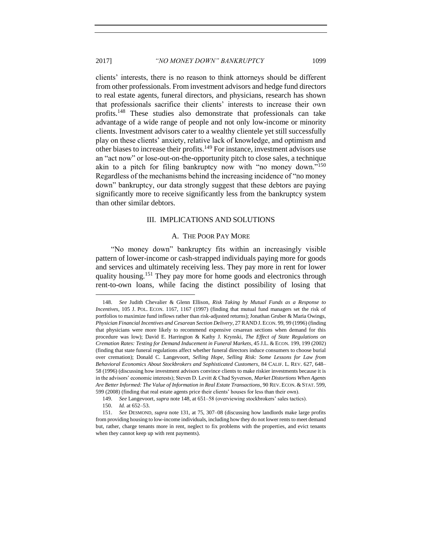clients' interests, there is no reason to think attorneys should be different from other professionals. From investment advisors and hedge fund directors to real estate agents, funeral directors, and physicians, research has shown that professionals sacrifice their clients' interests to increase their own profits.<sup>148</sup> These studies also demonstrate that professionals can take advantage of a wide range of people and not only low-income or minority clients. Investment advisors cater to a wealthy clientele yet still successfully play on these clients' anxiety, relative lack of knowledge, and optimism and other biases to increase their profits.<sup>149</sup> For instance, investment advisors use an "act now" or lose-out-on-the-opportunity pitch to close sales, a technique akin to a pitch for filing bankruptcy now with "no money down."<sup>150</sup> Regardless of the mechanisms behind the increasing incidence of "no money down" bankruptcy, our data strongly suggest that these debtors are paying significantly more to receive significantly less from the bankruptcy system than other similar debtors.

# III. IMPLICATIONS AND SOLUTIONS

# A. THE POOR PAY MORE

<span id="page-44-1"></span><span id="page-44-0"></span>"No money down" bankruptcy fits within an increasingly visible pattern of lower-income or cash-strapped individuals paying more for goods and services and ultimately receiving less. They pay more in rent for lower quality housing.<sup>151</sup> They pay more for home goods and electronics through rent-to-own loans, while facing the distinct possibility of losing that

<sup>148.</sup> *See* Judith Chevalier & Glenn Ellison, *Risk Taking by Mutual Funds as a Response to Incentives*, 105 J. POL. ECON. 1167, 1167 (1997) (finding that mutual fund managers set the risk of portfolios to maximize fund inflows rather than risk-adjusted returns); Jonathan Gruber & Maria Owings, *Physician Financial Incentives and Cesarean Section Delivery*, 27 RAND J. ECON. 99, 99 (1996) (finding that physicians were more likely to recommend expensive cesarean sections when demand for this procedure was low); David E. Harrington & Kathy J. Krynski, *The Effect of State Regulations on Cremation Rates: Testing for Demand Inducement in Funeral Markets*, 45 J.L. & ECON. 199, 199 (2002) (finding that state funeral regulations affect whether funeral directors induce consumers to choose burial over cremation); Donald C. Langevoort, *Selling Hope, Selling Risk: Some Lessons for Law from Behavioral Economics About Stockbrokers and Sophisticated Customers*, 84 CALIF. L. REV. 627, 648– 58 (1996) (discussing how investment advisors convince clients to make riskier investments because it is in the advisors' economic interests); Steven D. Levitt & Chad Syverson, *Market Distortions When Agents Are Better Informed: The Value of Information in Real Estate Transactions*, 90 REV. ECON. & STAT. 599, 599 (2008) (finding that real estate agents price their clients' houses for less than their own).

<sup>149.</sup> *See* Langevoort, *supra* note 148, at 651–58 (overviewing stockbrokers' sales tactics).

<sup>150.</sup> *Id.* at 652–53.

<sup>151.</sup> *See* DESMOND, *supra* note 131, at 75, 307–08 (discussing how landlords make large profits from providing housing to low-income individuals, including how they do not lower rents to meet demand but, rather, charge tenants more in rent, neglect to fix problems with the properties, and evict tenants when they cannot keep up with rent payments).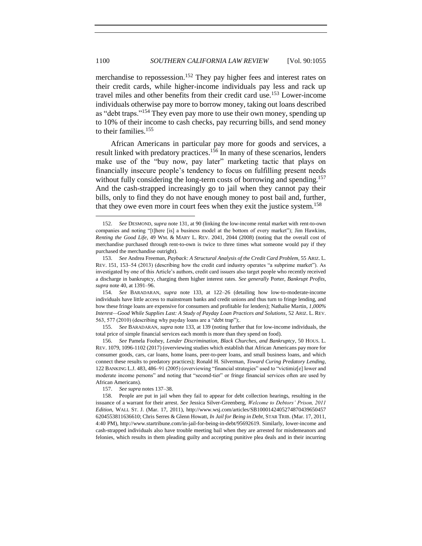merchandise to repossession.<sup>152</sup> They pay higher fees and interest rates on their credit cards, while higher-income individuals pay less and rack up travel miles and other benefits from their credit card use.<sup>153</sup> Lower-income individuals otherwise pay more to borrow money, taking out loans described as "debt traps."<sup>154</sup> They even pay more to use their own money, spending up to 10% of their income to cash checks, pay recurring bills, and send money to their families.<sup>155</sup>

African Americans in particular pay more for goods and services, a result linked with predatory practices.<sup>156</sup> In many of these scenarios, lenders make use of the "buy now, pay later" marketing tactic that plays on financially insecure people's tendency to focus on fulfilling present needs without fully considering the long-term costs of borrowing and spending.<sup>157</sup> And the cash-strapped increasingly go to jail when they cannot pay their bills, only to find they do not have enough money to post bail and, further, that they owe even more in court fees when they exit the justice system.<sup>158</sup>

156. *See* Pamela Foohey, *Lender Discrimination, Black Churches, and Bankruptcy*, 50 HOUS. L. REV. 1079, 1096-1102 (2017) (overviewing studies which establish that African Americans pay more for consumer goods, cars, car loans, home loans, peer-to-peer loans, and small business loans, and which connect these results to predatory practices); Ronald H. Silverman, *Toward Curing Predatory Lending*, 122 BANKING L.J. 483, 486–91 (2005) (overviewing "financial strategies" used to "victimiz[e] lower and moderate income persons" and noting that "second-tier" or fringe financial services often are used by African Americans).

157. *See supra* notes 137–38.

<sup>152.</sup> *See* DESMOND, *supra* note 131, at 90 (linking the low-income rental market with rent-to-own companies and noting "[t]here [is] a business model at the bottom of every market"); Jim Hawkins, *Renting the Good Life*, 49 WM. & MARY L. REV. 2041, 2044 (2008) (noting that the overall cost of merchandise purchased through rent-to-own is twice to three times what someone would pay if they purchased the merchandise outright)*.*

<sup>153.</sup> *See* Andrea Freeman, *Payback: A Structural Analysis of the Credit Card Problem*, 55 ARIZ. L. REV. 151, 153–54 (2013) (describing how the credit card industry operates "a subprime market"). As investigated by one of this Article's authors, credit card issuers also target people who recently received a discharge in bankruptcy, charging them higher interest rates. *See generally* Porter, *Bankrupt Profits*, *supra* note 40, at 1391–96.

<sup>154.</sup> *See* BARADARAN, *supra* note 133, at 122–26 (detailing how low-to-moderate-income individuals have little access to mainstream banks and credit unions and thus turn to fringe lending, and how these fringe loans are expensive for consumers and profitable for lenders); Nathalie Martin, *1,000% Interest—Good While Supplies Last: A Study of Payday Loan Practices and Solutions*, 52 ARIZ. L. REV. 563, 577 (2010) (describing why payday loans are a "debt trap");.

<sup>155.</sup> *See* BARADARAN, *supra* note 133, at 139 (noting further that for low-income individuals, the total price of simple financial services each month is more than they spend on food).

<sup>158.</sup> People are put in jail when they fail to appear for debt collection hearings, resulting in the issuance of a warrant for their arrest. *See* Jessica Silver-Greenberg, *Welcome to Debtors' Prison, 2011 Edition*, WALL ST. J. (Mar. 17, 2011), http://www.wsj.com/articles/SB1000142405274870439650457 6204553811636610; Chris Serres & Glenn Howatt, *In Jail for Being in Debt*, STAR TRIB. (Mar. 17, 2011, 4:40 PM), http://www.startribune.com/in-jail-for-being-in-debt/95692619. Similarly, lower-income and cash-strapped individuals also have trouble meeting bail when they are arrested for misdemeanors and felonies, which results in them pleading guilty and accepting punitive plea deals and in their incurring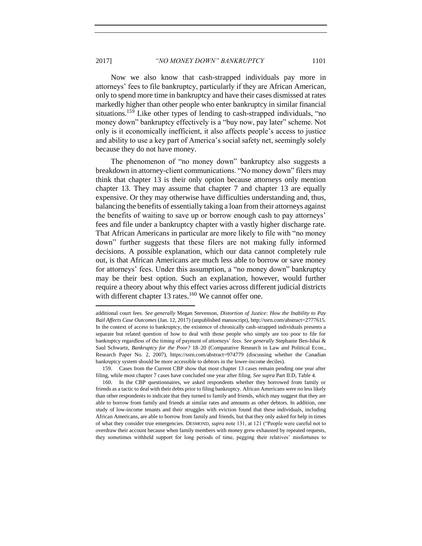Now we also know that cash-strapped individuals pay more in attorneys' fees to file bankruptcy, particularly if they are African American, only to spend more time in bankruptcy and have their cases dismissed at rates markedly higher than other people who enter bankruptcy in similar financial situations.<sup>159</sup> Like other types of lending to cash-strapped individuals, "no money down" bankruptcy effectively is a "buy now, pay later" scheme. Not only is it economically inefficient, it also affects people's access to justice and ability to use a key part of America's social safety net, seemingly solely because they do not have money.

The phenomenon of "no money down" bankruptcy also suggests a breakdown in attorney-client communications. "No money down" filers may think that chapter 13 is their only option because attorneys only mention chapter 13. They may assume that chapter 7 and chapter 13 are equally expensive. Or they may otherwise have difficulties understanding and, thus, balancing the benefits of essentially taking a loan from their attorneys against the benefits of waiting to save up or borrow enough cash to pay attorneys' fees and file under a bankruptcy chapter with a vastly higher discharge rate. That African Americans in particular are more likely to file with "no money down" further suggests that these filers are not making fully informed decisions. A possible explanation, which our data cannot completely rule out, is that African Americans are much less able to borrow or save money for attorneys' fees. Under this assumption, a "no money down" bankruptcy may be their best option. Such an explanation, however, would further require a theory about why this effect varies across different judicial districts with different chapter 13 rates.<sup>160</sup> We cannot offer one.

159. Cases from the Current CBP show that most chapter 13 cases remain pending one year after filing, while most chapter 7 cases have concluded one year after filing. *See supra* Part II.D, Table 4.

additional court fees. *See generally* Megan Stevenson, *Distortion of Justice: How the Inability to Pay Bail Affects Case Outcomes* (Jan. 12, 2017) (unpublished manuscript), http://ssrn.com/abstract=2777615. In the context of access to bankruptcy, the existence of chronically cash-strapped individuals presents a separate but related question of how to deal with those people who simply are too poor to file for bankruptcy regardless of the timing of payment of attorneys' fees. *See generally* Stephanie Ben-Ishai & Saul Schwartz, *Bankruptcy for the Poor?* 18–20 (Comparative Research in Law and Political Econ., Research Paper No. 2, 2007), https://ssrn.com/abstract=974779 (discussing whether the Canadian bankruptcy system should be more accessible to debtors in the lower-income deciles).

<sup>160.</sup> In the CBP questionnaires, we asked respondents whether they borrowed from family or friends as a tactic to deal with their debts prior to filing bankruptcy. African Americans were no less likely than other respondents to indicate that they turned to family and friends, which may suggest that they are able to borrow from family and friends at similar rates and amounts as other debtors. In addition, one study of low-income tenants and their struggles with eviction found that these individuals, including African Americans, are able to borrow from family and friends, but that they only asked for help in times of what they consider true emergencies. DESMOND, *supra* note 131, at 121 ("People were careful not to overdraw their account because when family members with money grew exhausted by repeated requests, they sometimes withheld support for long periods of time, pegging their relatives' misfortunes to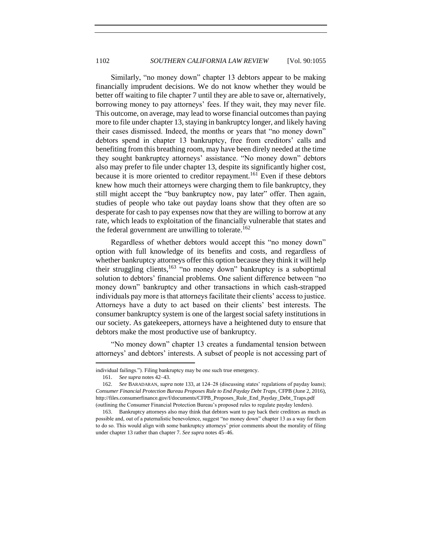Similarly, "no money down" chapter 13 debtors appear to be making financially imprudent decisions. We do not know whether they would be better off waiting to file chapter 7 until they are able to save or, alternatively, borrowing money to pay attorneys' fees. If they wait, they may never file. This outcome, on average, may lead to worse financial outcomes than paying more to file under chapter 13, staying in bankruptcy longer, and likely having their cases dismissed. Indeed, the months or years that "no money down" debtors spend in chapter 13 bankruptcy, free from creditors' calls and benefiting from this breathing room, may have been direly needed at the time they sought bankruptcy attorneys' assistance. "No money down" debtors also may prefer to file under chapter 13, despite its significantly higher cost, because it is more oriented to creditor repayment.<sup>161</sup> Even if these debtors knew how much their attorneys were charging them to file bankruptcy, they still might accept the "buy bankruptcy now, pay later" offer. Then again, studies of people who take out payday loans show that they often are so desperate for cash to pay expenses now that they are willing to borrow at any rate, which leads to exploitation of the financially vulnerable that states and the federal government are unwilling to tolerate.<sup>162</sup>

Regardless of whether debtors would accept this "no money down" option with full knowledge of its benefits and costs, and regardless of whether bankruptcy attorneys offer this option because they think it will help their struggling clients,  $163$  "no money down" bankruptcy is a suboptimal solution to debtors' financial problems. One salient difference between "no money down" bankruptcy and other transactions in which cash-strapped individuals pay more is that attorneys facilitate their clients' access to justice. Attorneys have a duty to act based on their clients' best interests. The consumer bankruptcy system is one of the largest social safety institutions in our society. As gatekeepers, attorneys have a heightened duty to ensure that debtors make the most productive use of bankruptcy.

"No money down" chapter 13 creates a fundamental tension between attorneys' and debtors' interests. A subset of people is not accessing part of

individual failings."). Filing bankruptcy may be one such true emergency.

<sup>161.</sup> *See supra* notes 42–43.

<sup>162.</sup> *See* BARADARAN, *supra* note 133, at 124–28 (discussing states' regulations of payday loans); *Consumer Financial Protection Bureau Proposes Rule to End Payday Debt Traps*, CFPB (June 2, 2016), http://files.consumerfinance.gov/f/documents/CFPB\_Proposes\_Rule\_End\_Payday\_Debt\_Traps.pdf (outlining the Consumer Financial Protection Bureau's proposed rules to regulate payday lenders).

<sup>163.</sup> Bankruptcy attorneys also may think that debtors want to pay back their creditors as much as possible and, out of a paternalistic benevolence, suggest "no money down" chapter 13 as a way for them to do so. This would align with some bankruptcy attorneys' prior comments about the morality of filing under chapter 13 rather than chapter 7. *See supra* notes 45–46.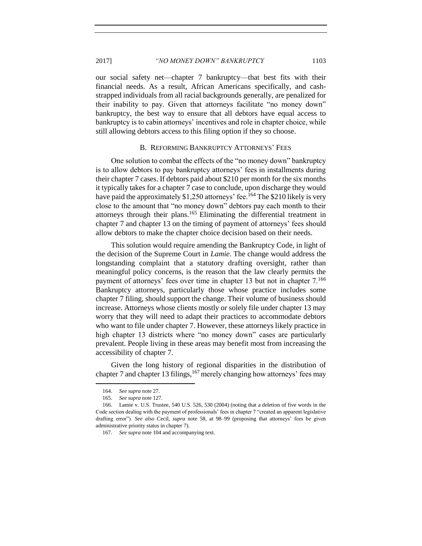2017] *"NO MONEY DOWN" BANKRUPTCY* 1103

our social safety net—chapter 7 bankruptcy—that best fits with their financial needs. As a result, African Americans specifically, and cashstrapped individuals from all racial backgrounds generally, are penalized for their inability to pay. Given that attorneys facilitate "no money down" bankruptcy, the best way to ensure that all debtors have equal access to bankruptcy is to cabin attorneys' incentives and role in chapter choice, while still allowing debtors access to this filing option if they so choose.

## B. REFORMING BANKRUPTCY ATTORNEYS' FEES

<span id="page-48-0"></span>One solution to combat the effects of the "no money down" bankruptcy is to allow debtors to pay bankruptcy attorneys' fees in installments during their chapter 7 cases. If debtors paid about \$210 per month for the six months it typically takes for a chapter 7 case to conclude, upon discharge they would have paid the approximately  $$1,250$  attorneys' fee.<sup>164</sup> The  $$210$  likely is very close to the amount that "no money down" debtors pay each month to their attorneys through their plans.<sup>165</sup> Eliminating the differential treatment in chapter 7 and chapter 13 on the timing of payment of attorneys' fees should allow debtors to make the chapter choice decision based on their needs.

This solution would require amending the Bankruptcy Code, in light of the decision of the Supreme Court in *Lamie*. The change would address the longstanding complaint that a statutory drafting oversight, rather than meaningful policy concerns, is the reason that the law clearly permits the payment of attorneys' fees over time in chapter 13 but not in chapter 7.<sup>166</sup> Bankruptcy attorneys, particularly those whose practice includes some chapter 7 filing, should support the change. Their volume of business should increase. Attorneys whose clients mostly or solely file under chapter 13 may worry that they will need to adapt their practices to accommodate debtors who want to file under chapter 7. However, these attorneys likely practice in high chapter 13 districts where "no money down" cases are particularly prevalent. People living in these areas may benefit most from increasing the accessibility of chapter 7.

Given the long history of regional disparities in the distribution of chapter 7 and chapter 13 filings,  $167$  merely changing how attorneys' fees may

<sup>164.</sup> *See supra* note 27.

<sup>165.</sup> *See supra* note 127.

<sup>166.</sup> Lamie v. U.S. Trustee, 540 U.S. 526, 530 (2004) (noting that a deletion of five words in the Code section dealing with the payment of professionals' fees in chapter 7 "created an apparent legislative drafting error"). *See also* Cecil, *supra* note 58, at 98–99 (proposing that attorneys' fees be given administrative priority status in chapter 7).

<sup>167.</sup> *See supra* note 104 and accompanying text.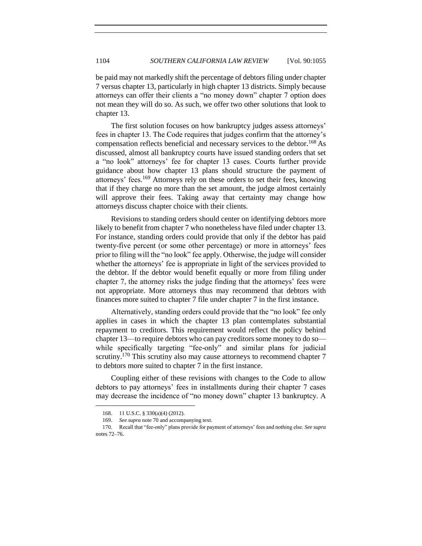be paid may not markedly shift the percentage of debtors filing under chapter 7 versus chapter 13, particularly in high chapter 13 districts. Simply because attorneys can offer their clients a "no money down" chapter 7 option does not mean they will do so. As such, we offer two other solutions that look to chapter 13.

The first solution focuses on how bankruptcy judges assess attorneys' fees in chapter 13. The Code requires that judges confirm that the attorney's compensation reflects beneficial and necessary services to the debtor.<sup>168</sup> As discussed, almost all bankruptcy courts have issued standing orders that set a "no look" attorneys' fee for chapter 13 cases. Courts further provide guidance about how chapter 13 plans should structure the payment of attorneys' fees.<sup>169</sup> Attorneys rely on these orders to set their fees, knowing that if they charge no more than the set amount, the judge almost certainly will approve their fees. Taking away that certainty may change how attorneys discuss chapter choice with their clients.

Revisions to standing orders should center on identifying debtors more likely to benefit from chapter 7 who nonetheless have filed under chapter 13. For instance, standing orders could provide that only if the debtor has paid twenty-five percent (or some other percentage) or more in attorneys' fees prior to filing will the "no look" fee apply. Otherwise, the judge will consider whether the attorneys' fee is appropriate in light of the services provided to the debtor. If the debtor would benefit equally or more from filing under chapter 7, the attorney risks the judge finding that the attorneys' fees were not appropriate. More attorneys thus may recommend that debtors with finances more suited to chapter 7 file under chapter 7 in the first instance.

Alternatively, standing orders could provide that the "no look" fee only applies in cases in which the chapter 13 plan contemplates substantial repayment to creditors. This requirement would reflect the policy behind chapter 13—to require debtors who can pay creditors some money to do so while specifically targeting "fee-only" and similar plans for judicial scrutiny.<sup>170</sup> This scrutiny also may cause attorneys to recommend chapter 7 to debtors more suited to chapter 7 in the first instance.

Coupling either of these revisions with changes to the Code to allow debtors to pay attorneys' fees in installments during their chapter 7 cases may decrease the incidence of "no money down" chapter 13 bankruptcy. A

<sup>168.</sup> 11 U.S.C. § 330(a)(4) (2012).

<sup>169.</sup> *See supra* note 70 and accompanying text.

<sup>170.</sup> Recall that "fee-only" plans provide for payment of attorneys' fees and nothing else. *See supra*  notes 72–76.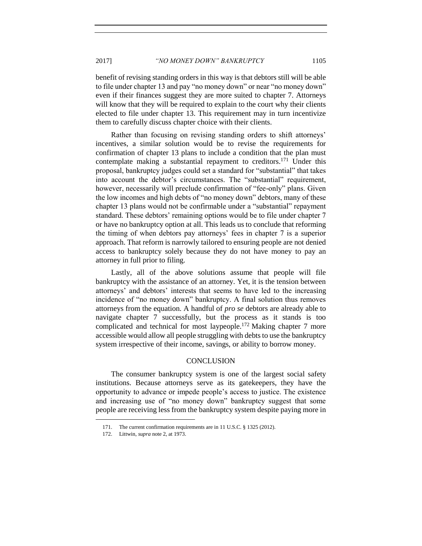benefit of revising standing orders in this way is that debtors still will be able to file under chapter 13 and pay "no money down" or near "no money down" even if their finances suggest they are more suited to chapter 7. Attorneys will know that they will be required to explain to the court why their clients elected to file under chapter 13. This requirement may in turn incentivize them to carefully discuss chapter choice with their clients.

Rather than focusing on revising standing orders to shift attorneys' incentives, a similar solution would be to revise the requirements for confirmation of chapter 13 plans to include a condition that the plan must contemplate making a substantial repayment to creditors.<sup>171</sup> Under this proposal, bankruptcy judges could set a standard for "substantial" that takes into account the debtor's circumstances. The "substantial" requirement, however, necessarily will preclude confirmation of "fee-only" plans. Given the low incomes and high debts of "no money down" debtors, many of these chapter 13 plans would not be confirmable under a "substantial" repayment standard. These debtors' remaining options would be to file under chapter 7 or have no bankruptcy option at all. This leads us to conclude that reforming the timing of when debtors pay attorneys' fees in chapter 7 is a superior approach. That reform is narrowly tailored to ensuring people are not denied access to bankruptcy solely because they do not have money to pay an attorney in full prior to filing.

Lastly, all of the above solutions assume that people will file bankruptcy with the assistance of an attorney. Yet, it is the tension between attorneys' and debtors' interests that seems to have led to the increasing incidence of "no money down" bankruptcy. A final solution thus removes attorneys from the equation. A handful of *pro se* debtors are already able to navigate chapter 7 successfully, but the process as it stands is too complicated and technical for most laypeople.<sup>172</sup> Making chapter 7 more accessible would allow all people struggling with debts to use the bankruptcy system irrespective of their income, savings, or ability to borrow money.

# **CONCLUSION**

<span id="page-50-0"></span>The consumer bankruptcy system is one of the largest social safety institutions. Because attorneys serve as its gatekeepers, they have the opportunity to advance or impede people's access to justice. The existence and increasing use of "no money down" bankruptcy suggest that some people are receiving less from the bankruptcy system despite paying more in

<sup>171.</sup> The current confirmation requirements are in 11 U.S.C. § 1325 (2012).

<sup>172.</sup> Littwin, *supra* note 2, at 1973.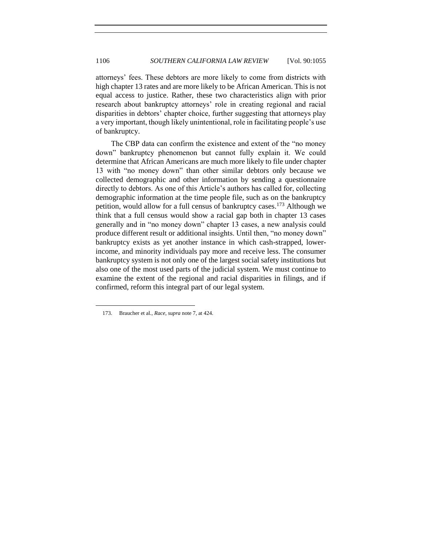attorneys' fees. These debtors are more likely to come from districts with high chapter 13 rates and are more likely to be African American. This is not equal access to justice. Rather, these two characteristics align with prior research about bankruptcy attorneys' role in creating regional and racial disparities in debtors' chapter choice, further suggesting that attorneys play a very important, though likely unintentional, role in facilitating people's use of bankruptcy.

The CBP data can confirm the existence and extent of the "no money down" bankruptcy phenomenon but cannot fully explain it. We could determine that African Americans are much more likely to file under chapter 13 with "no money down" than other similar debtors only because we collected demographic and other information by sending a questionnaire directly to debtors. As one of this Article's authors has called for, collecting demographic information at the time people file, such as on the bankruptcy petition, would allow for a full census of bankruptcy cases.<sup>173</sup> Although we think that a full census would show a racial gap both in chapter 13 cases generally and in "no money down" chapter 13 cases, a new analysis could produce different result or additional insights. Until then, "no money down" bankruptcy exists as yet another instance in which cash-strapped, lowerincome, and minority individuals pay more and receive less. The consumer bankruptcy system is not only one of the largest social safety institutions but also one of the most used parts of the judicial system. We must continue to examine the extent of the regional and racial disparities in filings, and if confirmed, reform this integral part of our legal system.

<sup>173.</sup> Braucher et al., *Race*, *supra* note 7, at 424.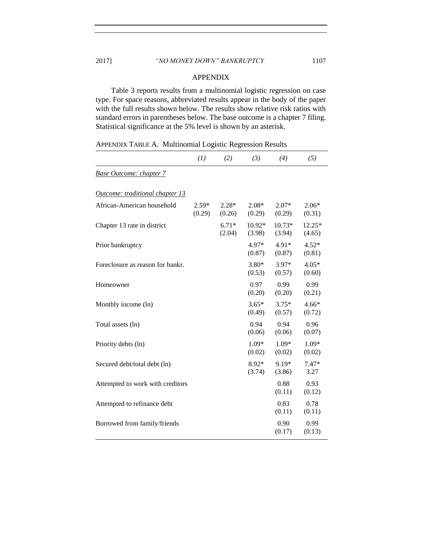<span id="page-52-0"></span>Table 3 reports results from a multinomial logistic regression on case type. For space reasons, abbreviated results appear in the body of the paper with the full results shown below. The results show relative risk ratios with standard errors in parentheses below. The base outcome is a chapter 7 filing. Statistical significance at the 5% level is shown by an asterisk.

APPENDIX TABLE A. Multinomial Logistic Regression Results

|                                  | (1)               | (2)               | (3)               | (4)                | (5)               |
|----------------------------------|-------------------|-------------------|-------------------|--------------------|-------------------|
| <b>Base Outcome: chapter 7</b>   |                   |                   |                   |                    |                   |
| Outcome: traditional chapter 13  |                   |                   |                   |                    |                   |
| African-American household       | $2.59*$<br>(0.29) | $2.28*$<br>(0.26) | $2.08*$<br>(0.29) | $2.07*$<br>(0.29)  | $2.06*$<br>(0.31) |
| Chapter 13 rate in district      |                   | $6.71*$<br>(2.04) | 10.92*<br>(3.98)  | $10.73*$<br>(3.94) | 12.25*<br>(4.65)  |
| Prior bankruptcy                 |                   |                   | $4.97*$<br>(0.87) | $4.91*$<br>(0.87)  | $4.52*$<br>(0.81) |
| Foreclosure as reason for bankr. |                   |                   | $3.80*$<br>(0.53) | 3.97*<br>(0.57)    | $4.05*$<br>(0.60) |
| Homeowner                        |                   |                   | 0.97<br>(0.20)    | 0.99<br>(0.20)     | 0.99<br>(0.21)    |
| Monthly income (ln)              |                   |                   | $3.65*$<br>(0.49) | $3.75*$<br>(0.57)  | $4.66*$<br>(0.72) |
| Total assets (ln)                |                   |                   | 0.94<br>(0.06)    | 0.94<br>(0.06)     | 0.96<br>(0.07)    |
| Priority debts (ln)              |                   |                   | $1.09*$<br>(0.02) | 1.09*<br>(0.02)    | 1.09*<br>(0.02)   |
| Secured debt/total debt (ln)     |                   |                   | 8.92*<br>(3.74)   | 9.19*<br>(3.86)    | $7.47*$<br>3.27   |
| Attempted to work with creditors |                   |                   |                   | 0.88<br>(0.11)     | 0.93<br>(0.12)    |
| Attempted to refinance debt      |                   |                   |                   | 0.83<br>(0.11)     | 0.78<br>(0.11)    |
| Borrowed from family/friends     |                   |                   |                   | 0.90<br>(0.17)     | 0.99<br>(0.13)    |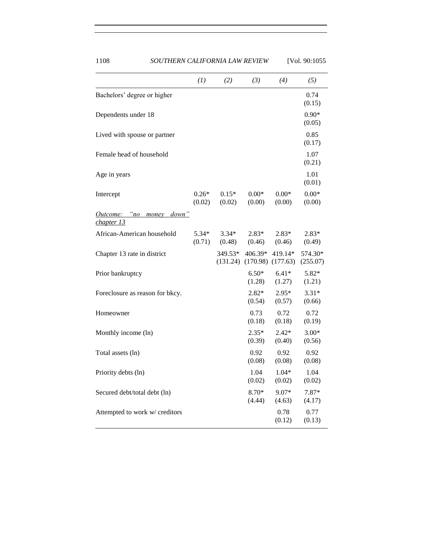| 1108                                         | SOUTHERN CALIFORNIA LAW REVIEW |                   | [Vol. 90:1055     |                                             |                     |
|----------------------------------------------|--------------------------------|-------------------|-------------------|---------------------------------------------|---------------------|
|                                              | (1)                            | (2)               | (3)               | (4)                                         | (5)                 |
| Bachelors' degree or higher                  |                                |                   |                   |                                             | 0.74<br>(0.15)      |
| Dependents under 18                          |                                |                   |                   |                                             | $0.90*$<br>(0.05)   |
| Lived with spouse or partner                 |                                |                   |                   |                                             | 0.85<br>(0.17)      |
| Female head of household                     |                                |                   |                   |                                             | 1.07<br>(0.21)      |
| Age in years                                 |                                |                   |                   |                                             | 1.01<br>(0.01)      |
| Intercept                                    | $0.26*$<br>(0.02)              | $0.15*$<br>(0.02) | $0.00*$<br>(0.00) | $0.00*$<br>(0.00)                           | $0.00*$<br>(0.00)   |
| "no<br>Outcome:<br>money down"<br>chapter 13 |                                |                   |                   |                                             |                     |
| African-American household                   | 5.34*<br>(0.71)                | $3.34*$<br>(0.48) | $2.83*$<br>(0.46) | $2.83*$<br>(0.46)                           | $2.83*$<br>(0.49)   |
| Chapter 13 rate in district                  |                                | 349.53*           | 406.39*           | 419.14*<br>$(131.24)$ $(170.98)$ $(177.63)$ | 574.30*<br>(255.07) |
| Prior bankruptcy                             |                                |                   | $6.50*$<br>(1.28) | $6.41*$<br>(1.27)                           | 5.82*<br>(1.21)     |
| Foreclosure as reason for bkcy.              |                                |                   | $2.82*$<br>(0.54) | $2.95*$<br>(0.57)                           | $3.31*$<br>(0.66)   |
| Homeowner                                    |                                |                   | 0.73<br>(0.18)    | 0.72<br>(0.18)                              | 0.72<br>(0.19)      |
| Monthly income (ln)                          |                                |                   | $2.35*$<br>(0.39) | $2.42*$<br>(0.40)                           | $3.00*$<br>(0.56)   |
| Total assets (ln)                            |                                |                   | 0.92<br>(0.08)    | 0.92<br>(0.08)                              | 0.92<br>(0.08)      |
| Priority debts (ln)                          |                                |                   | 1.04<br>(0.02)    | $1.04*$<br>(0.02)                           | 1.04<br>(0.02)      |
| Secured debt/total debt (ln)                 |                                |                   | 8.70*<br>(4.44)   | $9.07*$<br>(4.63)                           | 7.87*<br>(4.17)     |
| Attempted to work w/ creditors               |                                |                   |                   | 0.78<br>(0.12)                              | 0.77<br>(0.13)      |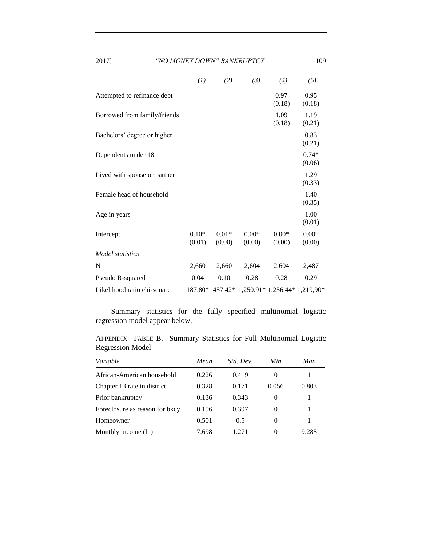| (1)               | (2)               | (3)               | (4)               | (5)                                           |
|-------------------|-------------------|-------------------|-------------------|-----------------------------------------------|
|                   |                   |                   | 0.97<br>(0.18)    | 0.95<br>(0.18)                                |
|                   |                   |                   | 1.09<br>(0.18)    | 1.19<br>(0.21)                                |
|                   |                   |                   |                   | 0.83<br>(0.21)                                |
|                   |                   |                   |                   | $0.74*$<br>(0.06)                             |
|                   |                   |                   |                   | 1.29<br>(0.33)                                |
|                   |                   |                   |                   | 1.40<br>(0.35)                                |
|                   |                   |                   |                   | 1.00<br>(0.01)                                |
| $0.10*$<br>(0.01) | $0.01*$<br>(0.00) | $0.00*$<br>(0.00) | $0.00*$<br>(0.00) | $0.00*$<br>(0.00)                             |
|                   |                   |                   |                   |                                               |
| 2,660             | 2,660             | 2,604             | 2,604             | 2,487                                         |
| 0.04              | 0.10              | 0.28              | 0.28              | 0.29                                          |
|                   |                   |                   |                   |                                               |
|                   |                   |                   |                   | 187.80* 457.42* 1,250.91* 1,256.44* 1,219,90* |

Summary statistics for the fully specified multinomial logistic regression model appear below.

APPENDIX TABLE B. Summary Statistics for Full Multinomial Logistic Regression Model

| Variable                        | Mean  | Std. Dev. | Min.     | Max   |
|---------------------------------|-------|-----------|----------|-------|
| African-American household      | 0.226 | 0.419     | $\theta$ |       |
| Chapter 13 rate in district     | 0.328 | 0.171     | 0.056    | 0.803 |
| Prior bankruptcy                | 0.136 | 0.343     | $\theta$ |       |
| Foreclosure as reason for bkcy. | 0.196 | 0.397     | 0        | 1     |
| Homeowner                       | 0.501 | 0.5       | $\theta$ | 1     |
| Monthly income (ln)             | 7.698 | 1.271     | 0        | 9.285 |